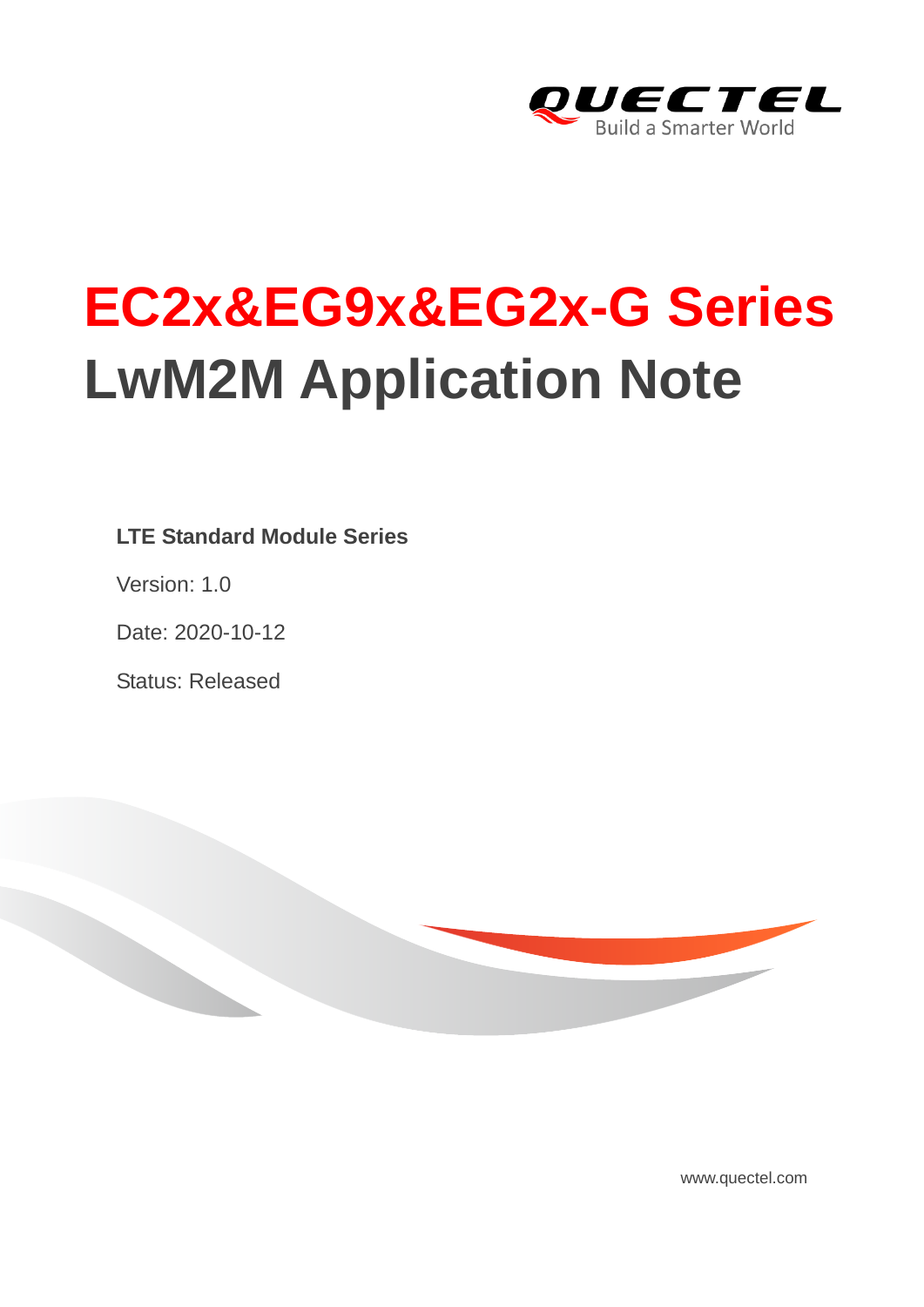

# **EC2x&EG9x&EG2x-G Series LwM2M Application Note**

**LTE Standard Module Series**

Version: 1.0

Date: 2020-10-12

Status: Released



[www.quectel.com](http://www.quectel.com/)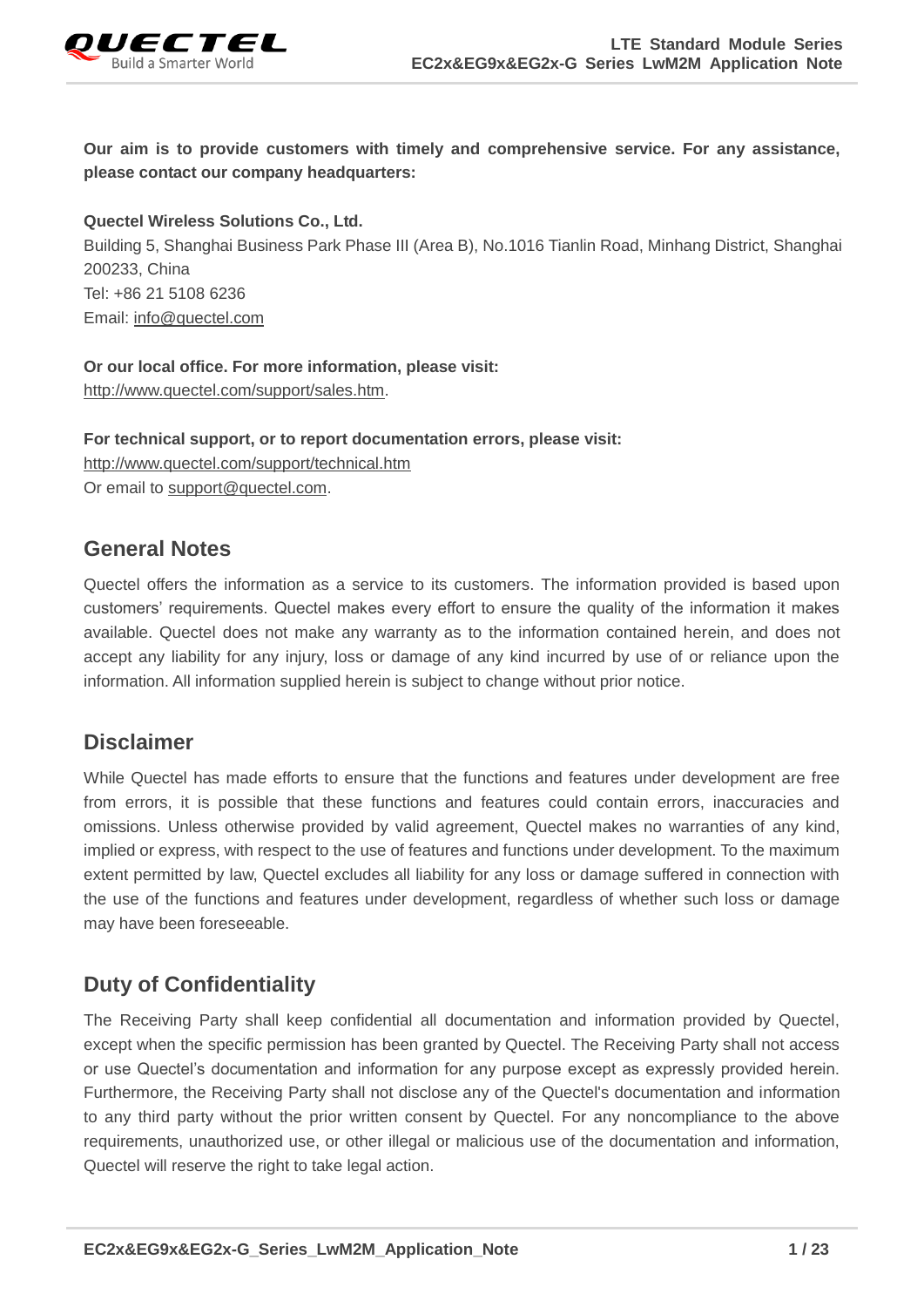

**Our aim is to provide customers with timely and comprehensive service. For any assistance, please contact our company headquarters:**

**Quectel Wireless Solutions Co., Ltd.** 

Building 5, Shanghai Business Park Phase III (Area B), No.1016 Tianlin Road, Minhang District, Shanghai 200233, China Tel: +86 21 5108 6236 Email: [info@quectel.com](mailto:info@quectel.com)

**Or our local office. For more information, please visit:** [http://www.quectel.com/support/sales.htm.](http://www.quectel.com/support/sales.htm)

**For technical support, or to report documentation errors, please visit:**  <http://www.quectel.com/support/technical.htm> Or email to [support@quectel.com.](mailto:support@quectel.com)

#### **General Notes**

Quectel offers the information as a service to its customers. The information provided is based upon customers' requirements. Quectel makes every effort to ensure the quality of the information it makes available. Quectel does not make any warranty as to the information contained herein, and does not accept any liability for any injury, loss or damage of any kind incurred by use of or reliance upon the information. All information supplied herein is subject to change without prior notice.

#### **Disclaimer**

While Quectel has made efforts to ensure that the functions and features under development are free from errors, it is possible that these functions and features could contain errors, inaccuracies and omissions. Unless otherwise provided by valid agreement, Quectel makes no warranties of any kind, implied or express, with respect to the use of features and functions under development. To the maximum extent permitted by law, Quectel excludes all liability for any loss or damage suffered in connection with the use of the functions and features under development, regardless of whether such loss or damage may have been foreseeable.

## **Duty of Confidentiality**

The Receiving Party shall keep confidential all documentation and information provided by Quectel, except when the specific permission has been granted by Quectel. The Receiving Party shall not access or use Quectel's documentation and information for any purpose except as expressly provided herein. Furthermore, the Receiving Party shall not disclose any of the Quectel's documentation and information to any third party without the prior written consent by Quectel. For any noncompliance to the above requirements, unauthorized use, or other illegal or malicious use of the documentation and information, Quectel will reserve the right to take legal action.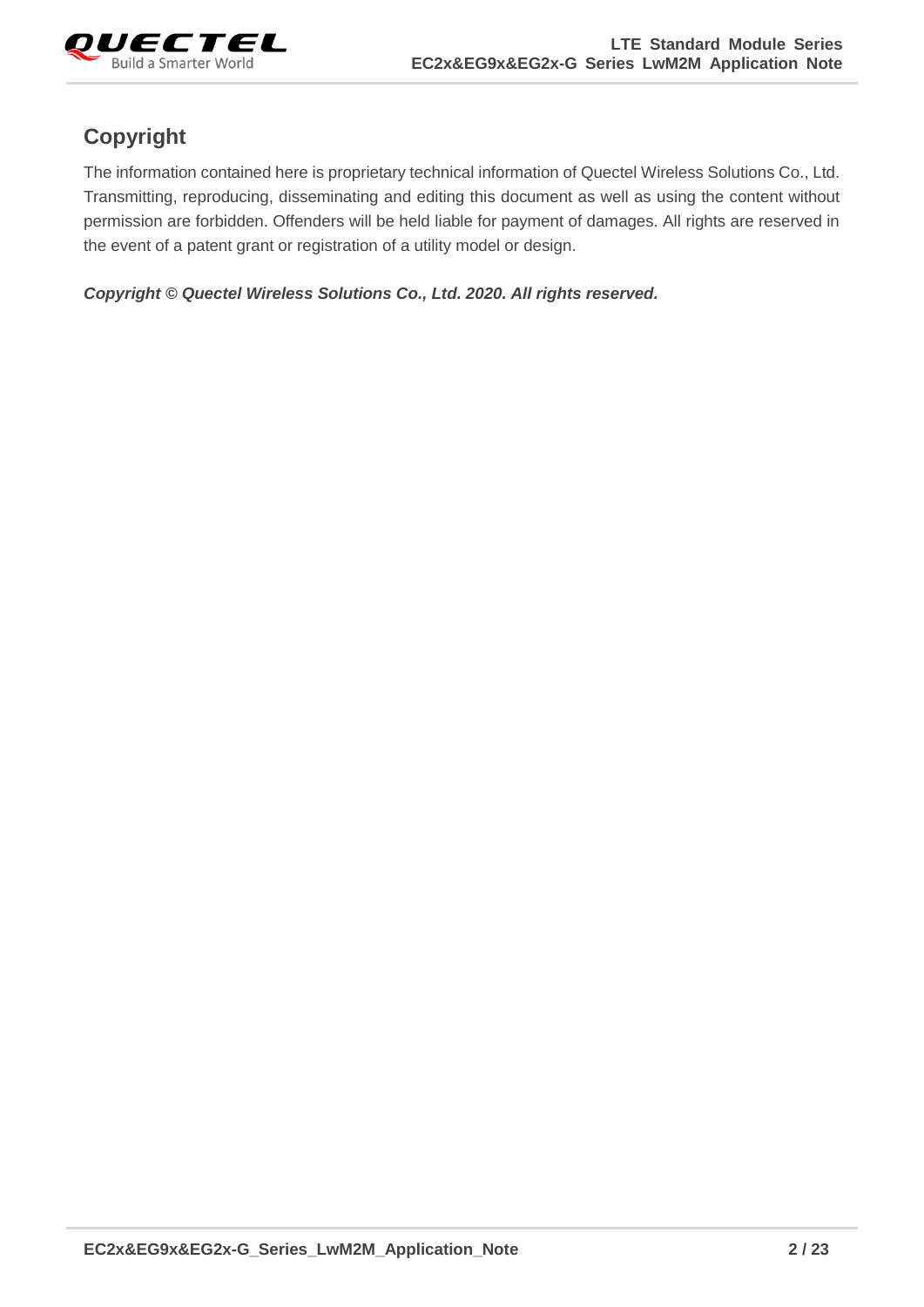

## **Copyright**

The information contained here is proprietary technical information of Quectel Wireless Solutions Co., Ltd. Transmitting, reproducing, disseminating and editing this document as well as using the content without permission are forbidden. Offenders will be held liable for payment of damages. All rights are reserved in the event of a patent grant or registration of a utility model or design.

*Copyright © Quectel Wireless Solutions Co., Ltd. 2020. All rights reserved.*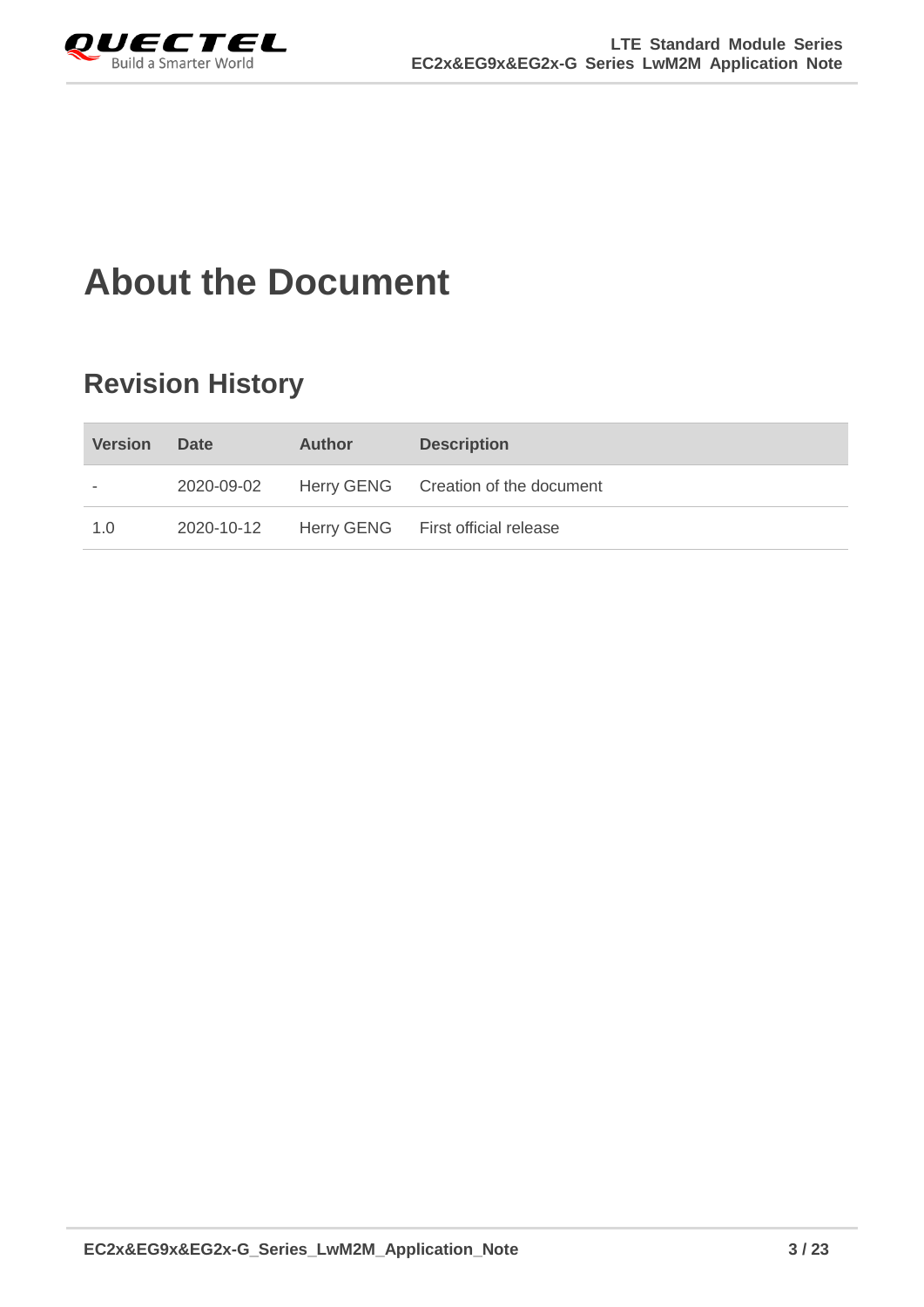<span id="page-3-0"></span>

## **About the Document**

## **Revision History**

| <b>Version</b> | <b>Date</b> | <b>Author</b> | <b>Description</b>                  |
|----------------|-------------|---------------|-------------------------------------|
|                | 2020-09-02  |               | Herry GENG Creation of the document |
| 1.0            | 2020-10-12  |               | Herry GENG First official release   |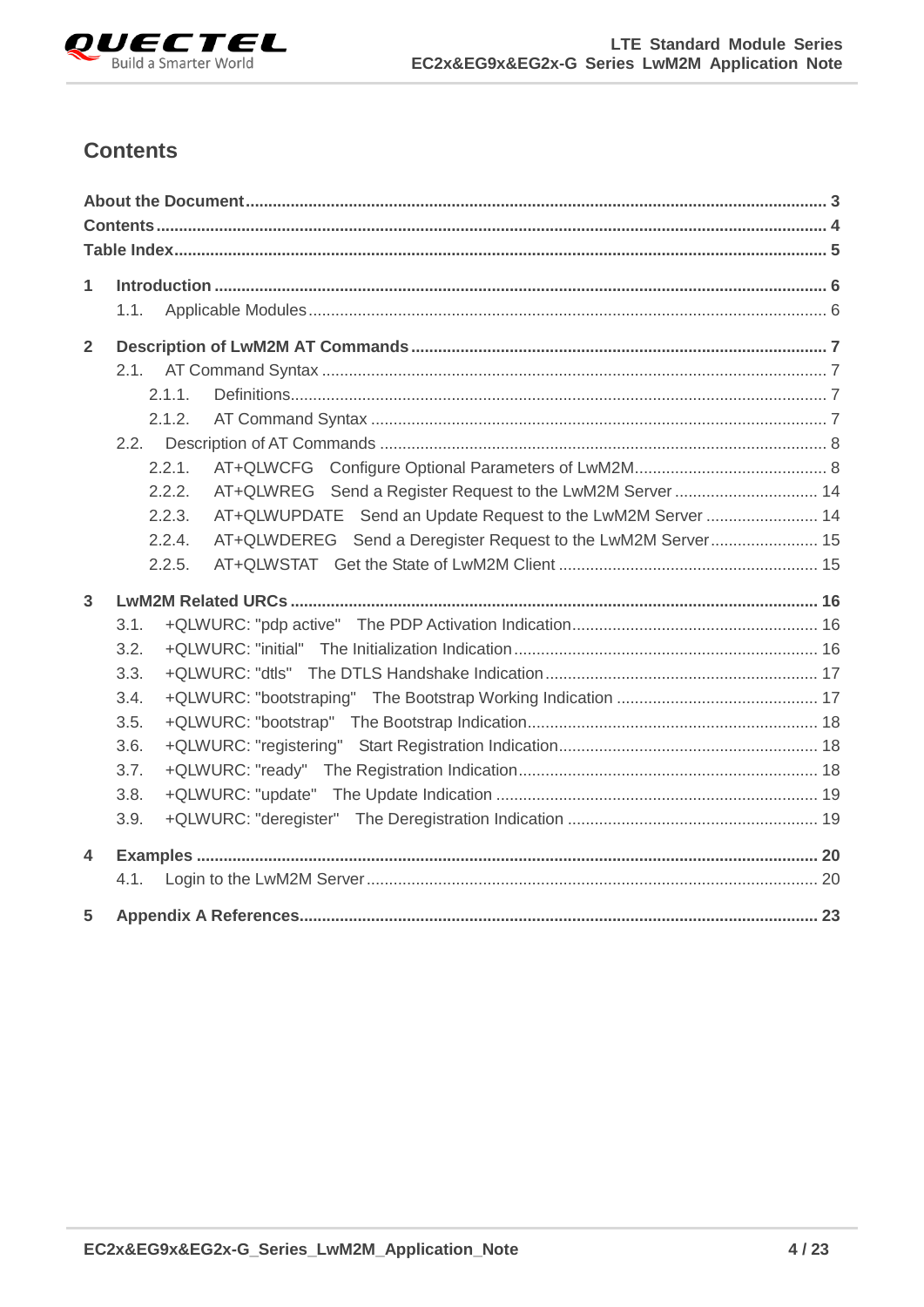

## <span id="page-4-0"></span>**Contents**

| $\mathbf{1}$            |      |        |                                                              |  |
|-------------------------|------|--------|--------------------------------------------------------------|--|
|                         | 1.1. |        |                                                              |  |
| $\overline{2}$          |      |        |                                                              |  |
|                         |      |        |                                                              |  |
|                         |      | 2.1.1. |                                                              |  |
|                         |      | 2.1.2. |                                                              |  |
|                         | 2.2. |        |                                                              |  |
|                         |      | 2.2.1. |                                                              |  |
|                         |      | 2.2.2. |                                                              |  |
|                         |      | 2.2.3. | AT+QLWUPDATE Send an Update Request to the LwM2M Server  14  |  |
|                         |      | 2.2.4. | AT+QLWDEREG Send a Deregister Request to the LwM2M Server 15 |  |
|                         |      | 2.2.5. |                                                              |  |
| $\overline{3}$          |      |        |                                                              |  |
|                         | 3.1. |        |                                                              |  |
|                         | 3.2. |        |                                                              |  |
|                         | 3.3. |        |                                                              |  |
|                         | 3.4. |        |                                                              |  |
|                         | 3.5. |        |                                                              |  |
|                         | 3.6. |        |                                                              |  |
|                         | 3.7. |        |                                                              |  |
|                         | 3.8. |        |                                                              |  |
|                         | 3.9. |        |                                                              |  |
| $\overline{\mathbf{4}}$ |      |        |                                                              |  |
|                         | 4.1. |        |                                                              |  |
| 5                       |      |        |                                                              |  |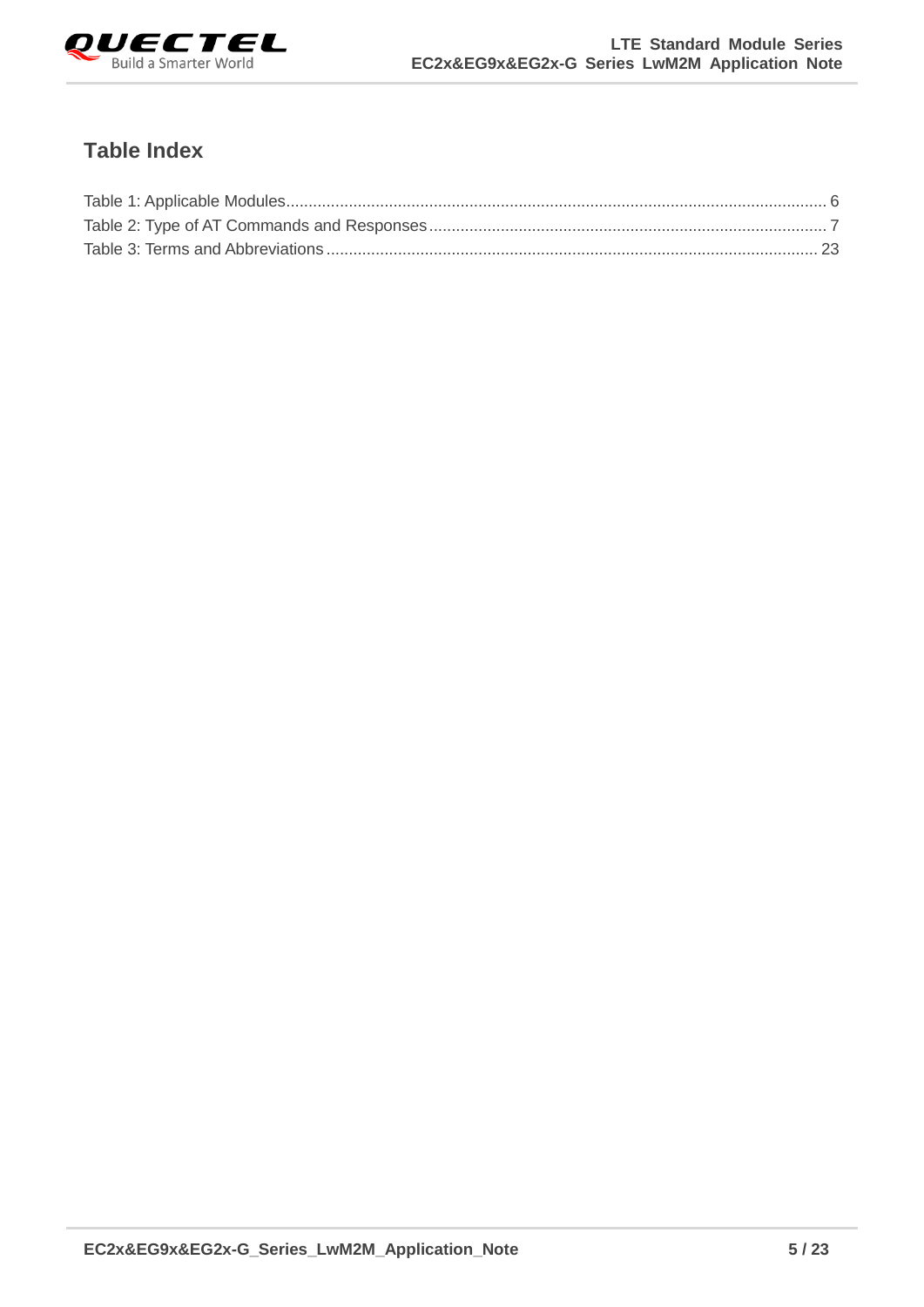

## <span id="page-5-0"></span>**Table Index**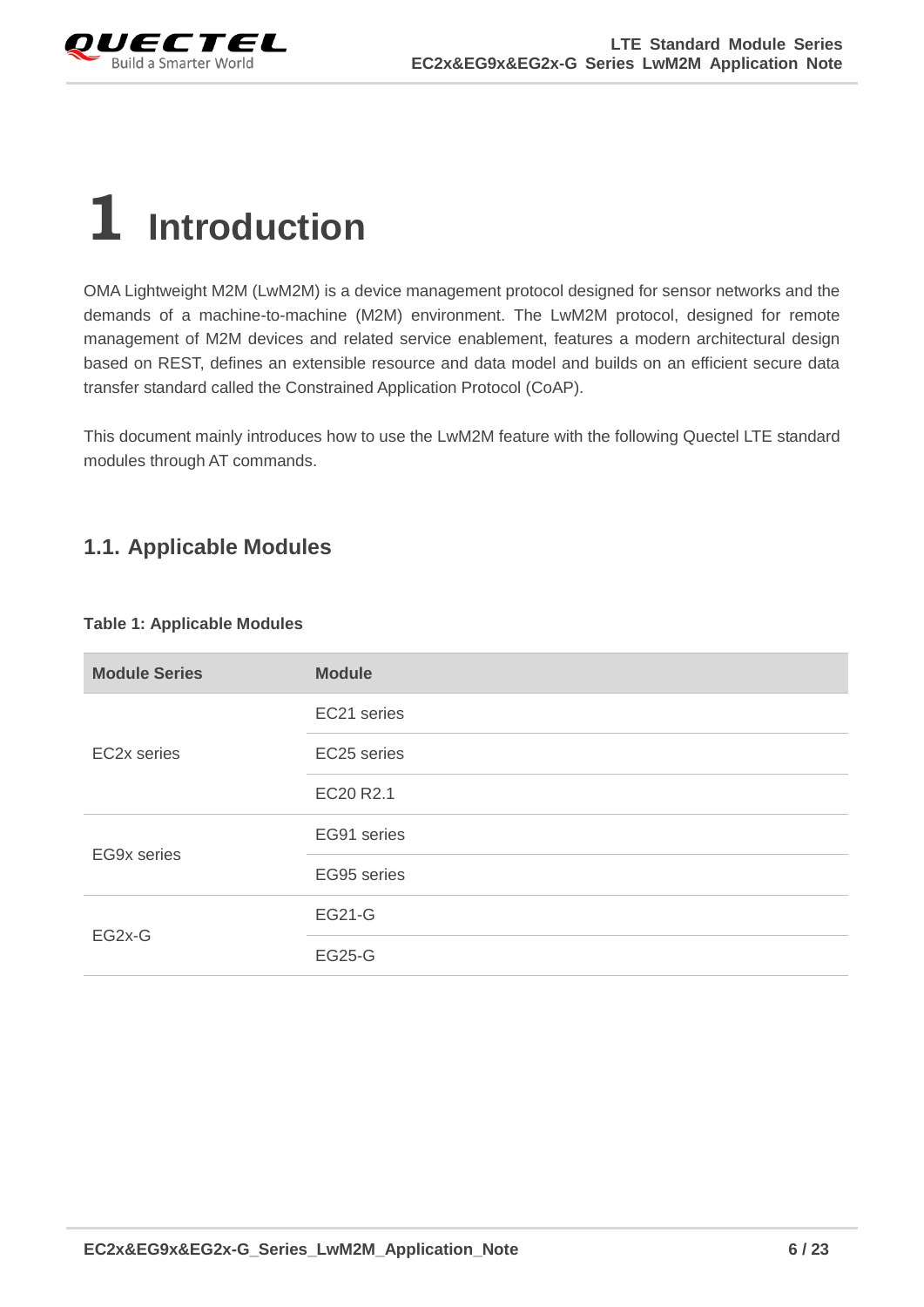

## <span id="page-6-0"></span>**1 Introduction**

OMA Lightweight M2M (LwM2M) is a device management protocol designed for sensor networks and the demands of a machine-to-machine (M2M) environment. The LwM2M protocol, designed for remote management of M2M devices and related service enablement, features a modern architectural design based on REST, defines an extensible resource and data model and builds on an efficient secure data transfer standard called the Constrained Application Protocol (CoAP).

This document mainly introduces how to use the LwM2M feature with the following Quectel LTE standard modules through AT commands.

## <span id="page-6-1"></span>**1.1. Applicable Modules**

#### <span id="page-6-2"></span>**Table 1: Applicable Modules**

| <b>Module Series</b> | <b>Module</b> |
|----------------------|---------------|
|                      | EC21 series   |
| EC2x series          | EC25 series   |
|                      | EC20 R2.1     |
| <b>EG9x series</b>   | EG91 series   |
|                      | EG95 series   |
| EG2x-G               | <b>EG21-G</b> |
|                      | <b>EG25-G</b> |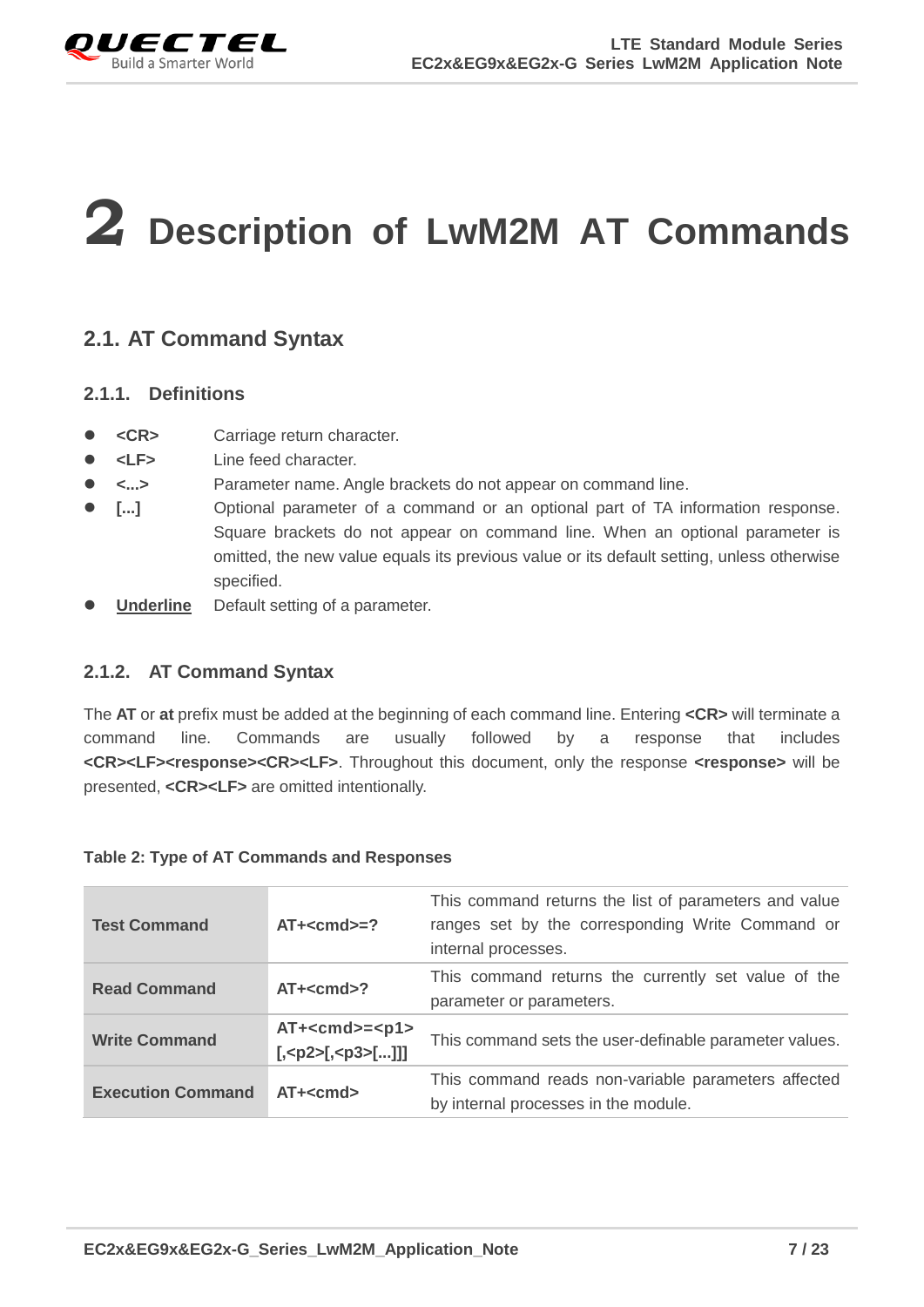

# <span id="page-7-0"></span>**2 Description of LwM2M AT Commands**

## <span id="page-7-1"></span>**2.1. AT Command Syntax**

#### <span id="page-7-2"></span>**2.1.1. Definitions**

- **<CR>** Carriage return character.
- **<LF>** Line feed character.
- **<...>** Parameter name. Angle brackets do not appear on command line.
- **[...]** Optional parameter of a command or an optional part of TA information response. Square brackets do not appear on command line. When an optional parameter is omitted, the new value equals its previous value or its default setting, unless otherwise specified.
- **Underline** Default setting of a parameter.

#### <span id="page-7-3"></span>**2.1.2. AT Command Syntax**

The **AT** or **at** prefix must be added at the beginning of each command line. Entering **<CR>** will terminate a command line. Commands are usually followed by a response that includes **<CR><LF><response><CR><LF>**. Throughout this document, only the response **<response>** will be presented, **<CR><LF>** are omitted intentionally.

| <b>Test Command</b>      | $AT + < cmd>=?$   | This command returns the list of parameters and value<br>ranges set by the corresponding Write Command or<br>internal processes. |
|--------------------------|-------------------|----------------------------------------------------------------------------------------------------------------------------------|
| <b>Read Command</b>      | $AT + < cmd$      | This command returns the currently set value of the<br>parameter or parameters.                                                  |
| <b>Write Command</b>     | $AT+ <$ cmd>= $ $ | This command sets the user-definable parameter values.                                                                           |
| <b>Execution Command</b> | $AT + < cmd$      | This command reads non-variable parameters affected<br>by internal processes in the module.                                      |

#### <span id="page-7-4"></span>**Table 2: Type of AT Commands and Responses**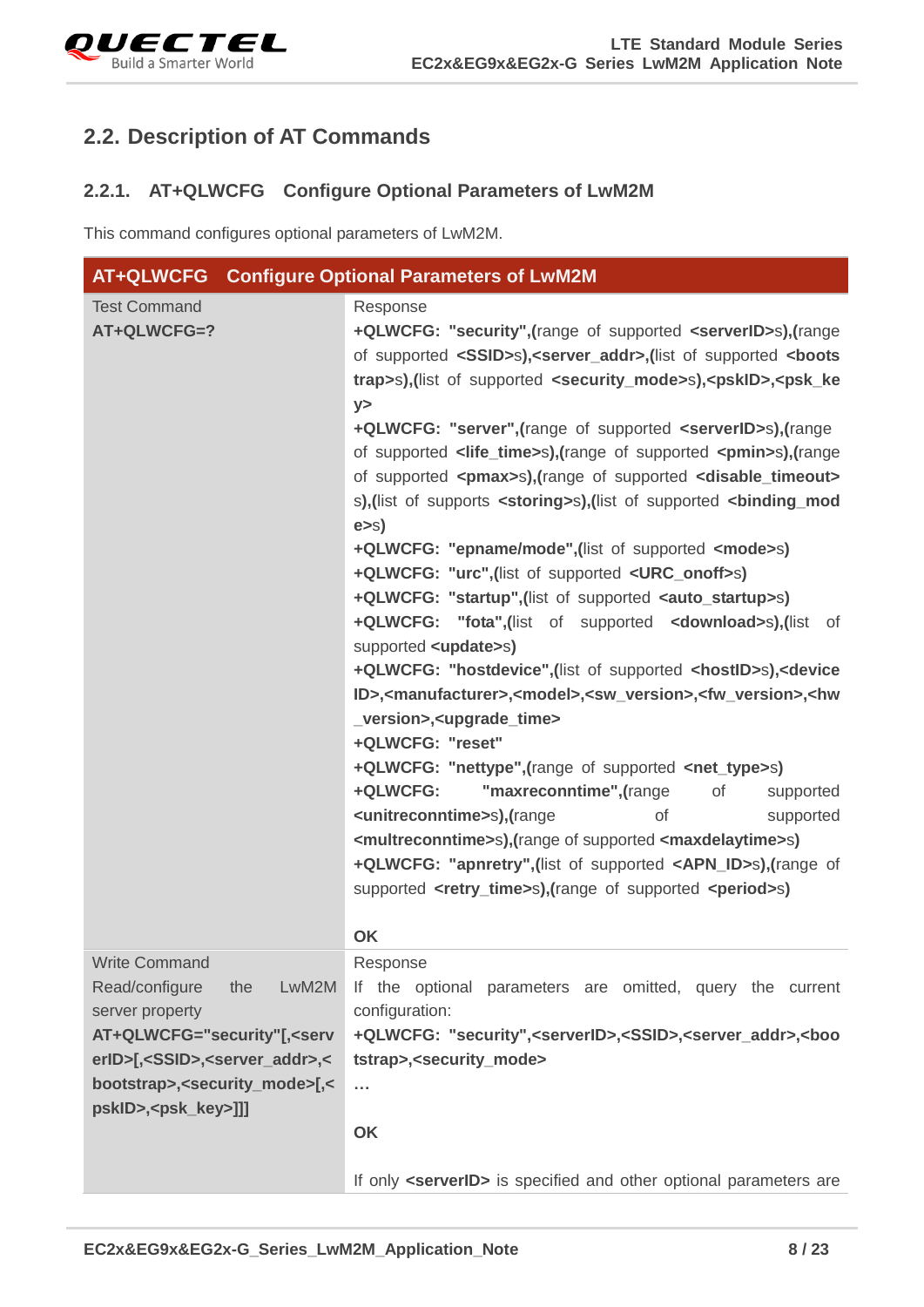

## <span id="page-8-0"></span>**2.2. Description of AT Commands**

#### <span id="page-8-1"></span>**2.2.1. AT+QLWCFG Configure Optional Parameters of LwM2M**

This command configures optional parameters of LwM2M.

| AT+QLWCFG Configure Optional Parameters of LwM2M                                                                                                                                                                                                                             |                                                                                                                                                                                                                                                                                                                                                                                                                                                                                                                                                                                                                                                                                                                                                                                                                                                                                                                                                                                                                                                                                                                                                                                                                                                                                                                                                                                                                                                                                                                                                                                                                                                                                                                                                |
|------------------------------------------------------------------------------------------------------------------------------------------------------------------------------------------------------------------------------------------------------------------------------|------------------------------------------------------------------------------------------------------------------------------------------------------------------------------------------------------------------------------------------------------------------------------------------------------------------------------------------------------------------------------------------------------------------------------------------------------------------------------------------------------------------------------------------------------------------------------------------------------------------------------------------------------------------------------------------------------------------------------------------------------------------------------------------------------------------------------------------------------------------------------------------------------------------------------------------------------------------------------------------------------------------------------------------------------------------------------------------------------------------------------------------------------------------------------------------------------------------------------------------------------------------------------------------------------------------------------------------------------------------------------------------------------------------------------------------------------------------------------------------------------------------------------------------------------------------------------------------------------------------------------------------------------------------------------------------------------------------------------------------------|
| <b>Test Command</b><br>AT+QLWCFG=?                                                                                                                                                                                                                                           | Response<br>+QLWCFG: "security", (range of supported <serverid>s), (range<br/>of supported <ssid>s),<server_addr>,(list of supported <br/>boots<br/>trap&gt;s),(list of supported <security_mode>s),<pskid>,<psk_ke<br>y<br/>+QLWCFG: "server", (range of supported <serverid>s), (range<br>of supported <life_time>s),(range of supported <pmin>s),(range<br/>of supported <pmax>s),(range of supported <disable_timeout><br/>s), (list of supports <storing>s), (list of supported <binding_mod<br>e &gt; s<br/>+QLWCFG: "epname/mode",(list of supported <mode>s)<br/>+QLWCFG: "urc", (list of supported <urc_onoff>s)<br/>+QLWCFG: "startup", (list of supported <auto_startup>s)<br/>+QLWCFG: "fota", (list of supported <download>s), (list of<br/>supported <update>s)<br/>+QLWCFG: "hostdevice", (list of supported <hostid>s), <device<br>ID&gt;,<manufacturer>,<model>,<sw_version>,<fw_version>,<hw<br>_version&gt;,<upgrade_time><br/>+QLWCFG: "reset"<br/>+QLWCFG: "nettype",(range of supported <net_type>s)<br/>"maxreconntime", (range<br/>+QLWCFG:<br/>of<br/>supported<br/><unitreconntime>s),(range<br/>οf<br/>supported<br/><multreconntime>s),(range of supported <maxdelaytime>s)<br/>+QLWCFG: "apnretry", (list of supported <apn_id>s), (range of<br/>supported <retry_time>s),(range of supported <period>s)</period></retry_time></apn_id></maxdelaytime></multreconntime></unitreconntime></net_type></upgrade_time></hw<br></fw_version></sw_version></model></manufacturer></device<br></hostid></update></download></auto_startup></urc_onoff></mode></binding_mod<br></storing></disable_timeout></pmax></pmin></life_time></br></serverid></psk_ke<br></pskid></security_mode></server_addr></ssid></serverid> |
|                                                                                                                                                                                                                                                                              | OK                                                                                                                                                                                                                                                                                                                                                                                                                                                                                                                                                                                                                                                                                                                                                                                                                                                                                                                                                                                                                                                                                                                                                                                                                                                                                                                                                                                                                                                                                                                                                                                                                                                                                                                                             |
| <b>Write Command</b><br>Read/configure<br>LwM2M<br>the<br>server property<br>AT+QLWCFG="security"[, <serv<br>erID&gt;[,<ssid>,<server_addr>,&lt;<br/>bootstrap&gt;,<security_mode>[,&lt;<br/>pskID&gt;,<psk_key>]]]</psk_key></security_mode></server_addr></ssid></serv<br> | Response<br>If the optional parameters are omitted, query the current<br>configuration:<br>+QLWCFG: "security", <serverid>,<ssid>,<server_addr>,<boo<br>tstrap&gt;,<security_mode><br/><math>\cdots</math><br/>OK<br/>If only <serverid> is specified and other optional parameters are</serverid></security_mode></boo<br></server_addr></ssid></serverid>                                                                                                                                                                                                                                                                                                                                                                                                                                                                                                                                                                                                                                                                                                                                                                                                                                                                                                                                                                                                                                                                                                                                                                                                                                                                                                                                                                                    |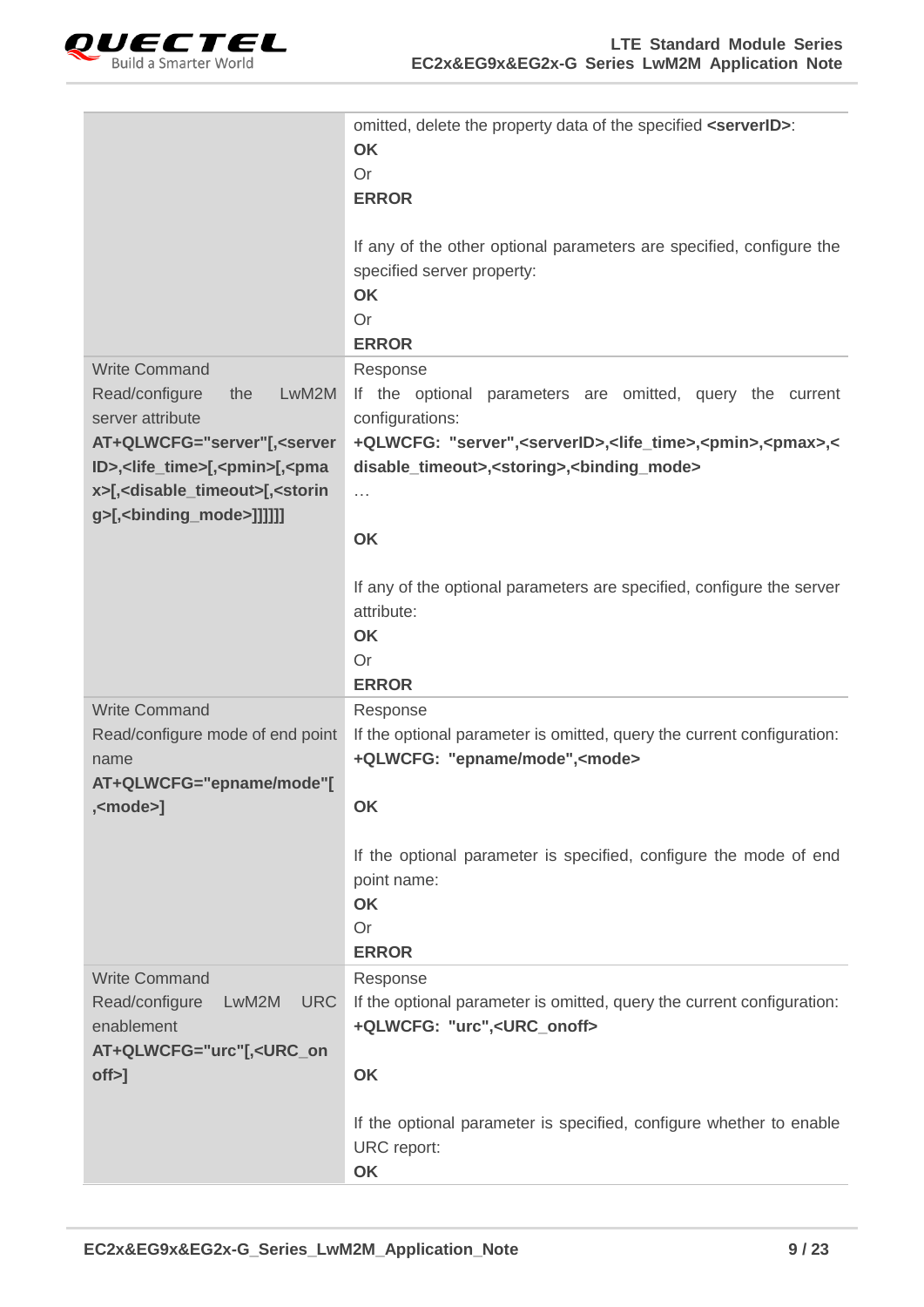

|                                                                                                                                                                                                                                                                                                         | omitted, delete the property data of the specified <serverid>:<br/><b>OK</b><br/>Or<br/><b>ERROR</b><br/>If any of the other optional parameters are specified, configure the<br/>specified server property:<br/>OK<br/>Or<br/><b>ERROR</b></serverid>                                                                                                                                                        |
|---------------------------------------------------------------------------------------------------------------------------------------------------------------------------------------------------------------------------------------------------------------------------------------------------------|---------------------------------------------------------------------------------------------------------------------------------------------------------------------------------------------------------------------------------------------------------------------------------------------------------------------------------------------------------------------------------------------------------------|
| <b>Write Command</b><br>Read/configure<br>LwM2M<br>the<br>server attribute<br>AT+QLWCFG="server"[, <server<br>ID&gt;,<life_time>[,<pmin>[,<pma<br>x&gt;[,<disable_timeout>[,<storin<br>g&gt;[,<binding_mode>]]]]]]</binding_mode></storin<br></disable_timeout></pma<br></pmin></life_time></server<br> | Response<br>If the optional parameters are omitted, query the current<br>configurations:<br>+QLWCFG: "server", <serverid>,<life_time>,<pmin>,<pmax>,&lt;<br/>disable_timeout&gt;,<storing>,<binding_mode><br/><math>\cdots</math><br/>OK<br/>If any of the optional parameters are specified, configure the server<br/>attribute:<br/>OK<br/>Or</binding_mode></storing></pmax></pmin></life_time></serverid> |
| <b>Write Command</b><br>Read/configure mode of end point<br>name<br>AT+QLWCFG="epname/mode"[<br>, <mode>]</mode>                                                                                                                                                                                        | <b>ERROR</b><br>Response<br>If the optional parameter is omitted, query the current configuration:<br>+QLWCFG: "epname/mode", <mode><br/>OK<br/>If the optional parameter is specified, configure the mode of end<br/>point name:<br/>OK<br/>Or<br/><b>ERROR</b></mode>                                                                                                                                       |
| <b>Write Command</b><br>Read/configure<br>LwM2M<br><b>URC</b><br>enablement<br>AT+QLWCFG="urc"[, <urc_on<br><math>off</math><math>&gt;</math>]</urc_on<br>                                                                                                                                              | Response<br>If the optional parameter is omitted, query the current configuration:<br>+QLWCFG: "urc", <urc_onoff><br/>OK<br/>If the optional parameter is specified, configure whether to enable<br/>URC report:<br/>OK</urc_onoff>                                                                                                                                                                           |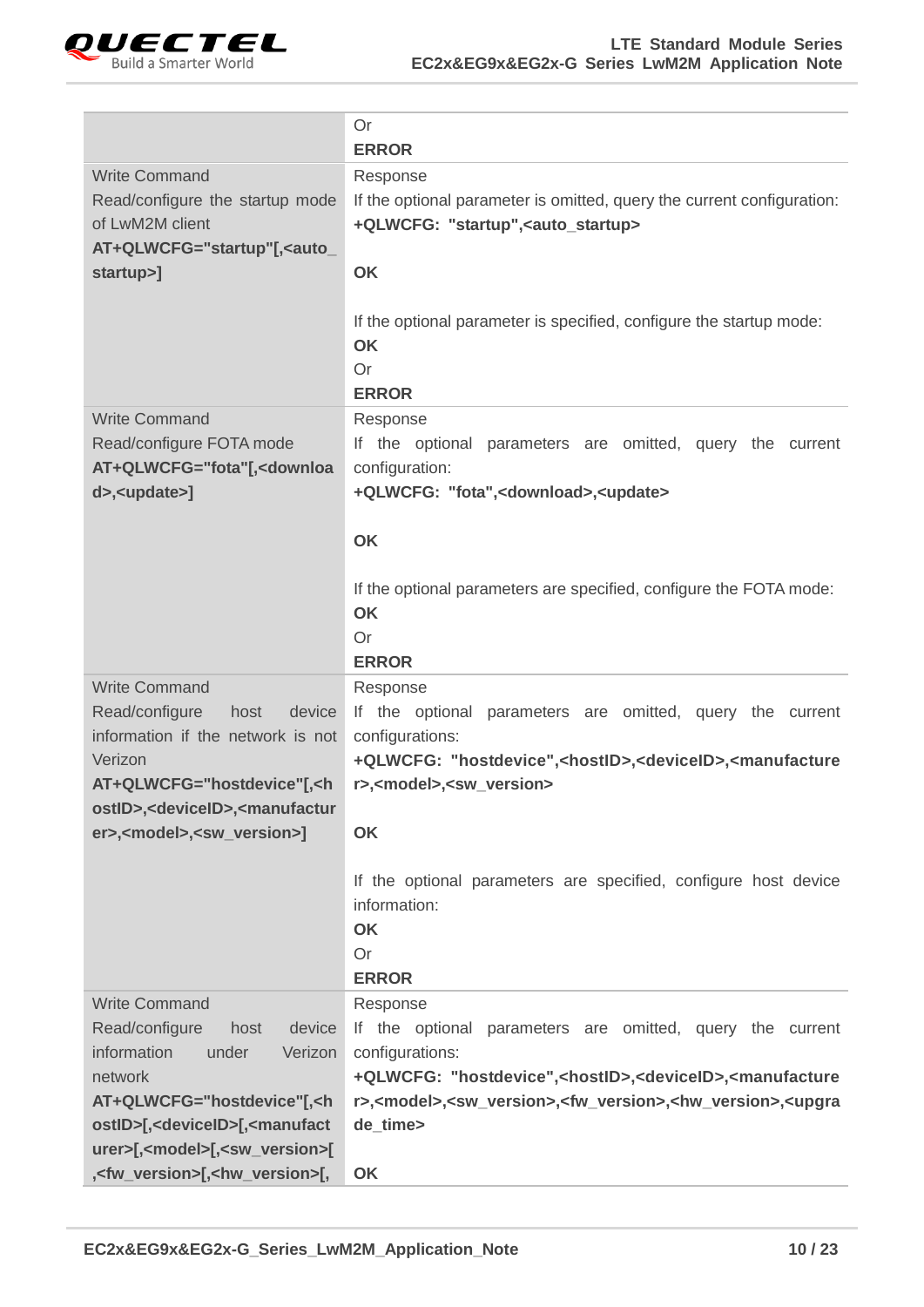

|                                                                                                                                                                                                                                                                                                                                | Or<br><b>ERROR</b>                                                                                                                                                                                                                                                                                                                      |
|--------------------------------------------------------------------------------------------------------------------------------------------------------------------------------------------------------------------------------------------------------------------------------------------------------------------------------|-----------------------------------------------------------------------------------------------------------------------------------------------------------------------------------------------------------------------------------------------------------------------------------------------------------------------------------------|
| <b>Write Command</b><br>Read/configure the startup mode<br>of LwM2M client<br>AT+QLWCFG="startup"[, <auto_<br>startup&gt;]</auto_<br>                                                                                                                                                                                          | Response<br>If the optional parameter is omitted, query the current configuration:<br>+QLWCFG: "startup", <auto_startup><br/>OK<br/>If the optional parameter is specified, configure the startup mode:</auto_startup>                                                                                                                  |
|                                                                                                                                                                                                                                                                                                                                | <b>OK</b><br><b>Or</b><br><b>ERROR</b>                                                                                                                                                                                                                                                                                                  |
| <b>Write Command</b><br>Read/configure FOTA mode<br>AT+QLWCFG="fota"[, <downloa<br>d&gt;,<update>]</update></downloa<br>                                                                                                                                                                                                       | Response<br>If the optional parameters are omitted, query the current<br>configuration:<br>+QLWCFG: "fota", <download>,<update></update></download>                                                                                                                                                                                     |
|                                                                                                                                                                                                                                                                                                                                | OK<br>If the optional parameters are specified, configure the FOTA mode:<br><b>OK</b><br>Or<br><b>ERROR</b>                                                                                                                                                                                                                             |
| <b>Write Command</b><br>Read/configure<br>host<br>device<br>information if the network is not<br>Verizon<br>AT+QLWCFG="hostdevice"[, <h<br>ostID&gt;,<deviceid>,<manufactur<br>er&gt;,<model>,<sw_version>]</sw_version></model></manufactur<br></deviceid></h<br>                                                             | Response<br>If the optional parameters are omitted, query the current<br>configurations:<br>+QLWCFG: "hostdevice", <hostid>,<deviceid>,<manufacture<br>r&gt;,<model>,<sw_version><br/>OK</sw_version></model></manufacture<br></deviceid></hostid>                                                                                      |
|                                                                                                                                                                                                                                                                                                                                | If the optional parameters are specified, configure host device<br>information:<br><b>OK</b><br>Or<br><b>ERROR</b>                                                                                                                                                                                                                      |
| <b>Write Command</b><br>Read/configure<br>device<br>host<br>information<br>Verizon<br>under<br>network<br>AT+QLWCFG="hostdevice"[, <h<br>ostID&gt;[,<deviceid>[,<manufact<br>urer&gt;[,<model>[,<sw_version>[<br/>,<fw_version>[,<hw_version>[,</hw_version></fw_version></sw_version></model></manufact<br></deviceid></h<br> | Response<br>If the optional parameters are omitted, query the current<br>configurations:<br>+QLWCFG: "hostdevice", <hostid>,<deviceid>,<manufacture<br>r&gt;,<model>,<sw_version>,<fw_version>,<hw_version>,<upgra<br>de_time&gt;<br/>OK</upgra<br></hw_version></fw_version></sw_version></model></manufacture<br></deviceid></hostid> |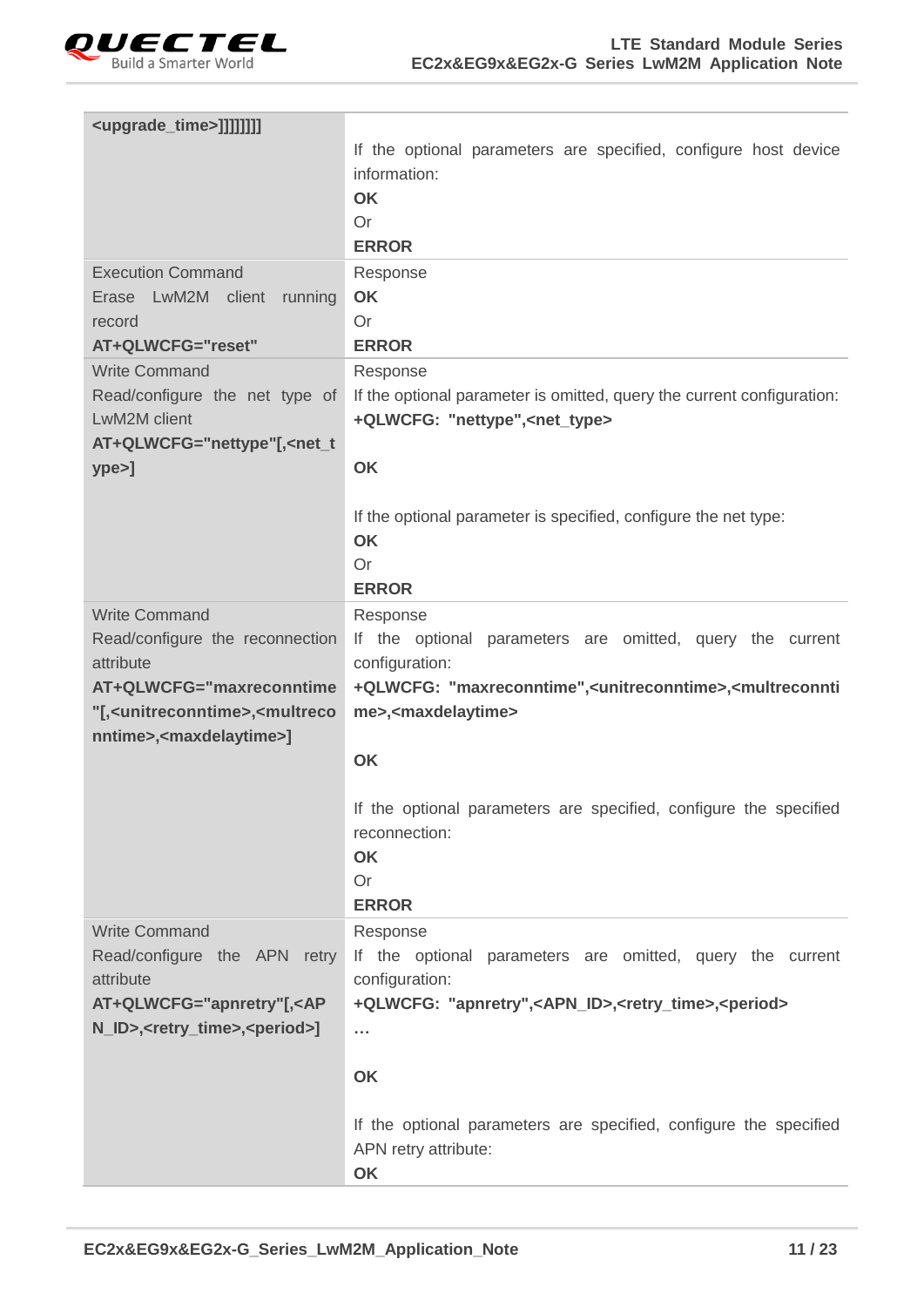

| <upgrade_time>]]]]]]]]</upgrade_time>                                                                                                                                                                                                      |                                                                                                                                     |
|--------------------------------------------------------------------------------------------------------------------------------------------------------------------------------------------------------------------------------------------|-------------------------------------------------------------------------------------------------------------------------------------|
|                                                                                                                                                                                                                                            | If the optional parameters are specified, configure host device                                                                     |
|                                                                                                                                                                                                                                            | information:                                                                                                                        |
|                                                                                                                                                                                                                                            | OK                                                                                                                                  |
|                                                                                                                                                                                                                                            | Or<br><b>ERROR</b>                                                                                                                  |
| <b>Execution Command</b>                                                                                                                                                                                                                   | Response                                                                                                                            |
| Erase LwM2M client<br>running                                                                                                                                                                                                              | OK                                                                                                                                  |
| record                                                                                                                                                                                                                                     | Or                                                                                                                                  |
| AT+QLWCFG="reset"                                                                                                                                                                                                                          | <b>ERROR</b>                                                                                                                        |
| <b>Write Command</b>                                                                                                                                                                                                                       | Response                                                                                                                            |
| Read/configure the net type of                                                                                                                                                                                                             | If the optional parameter is omitted, query the current configuration:                                                              |
| LwM2M client                                                                                                                                                                                                                               | +QLWCFG: "nettype", <net_type></net_type>                                                                                           |
| AT+QLWCFG="nettype"[, <net_t< th=""><th></th></net_t<>                                                                                                                                                                                     |                                                                                                                                     |
| $ype>$ ]                                                                                                                                                                                                                                   | OK                                                                                                                                  |
|                                                                                                                                                                                                                                            | If the optional parameter is specified, configure the net type:                                                                     |
|                                                                                                                                                                                                                                            | <b>OK</b>                                                                                                                           |
|                                                                                                                                                                                                                                            | Or                                                                                                                                  |
|                                                                                                                                                                                                                                            | <b>ERROR</b>                                                                                                                        |
| <b>Write Command</b>                                                                                                                                                                                                                       | Response                                                                                                                            |
| Read/configure the reconnection                                                                                                                                                                                                            | If the optional parameters are omitted, query the current                                                                           |
| attribute                                                                                                                                                                                                                                  | configuration:                                                                                                                      |
| AT+QLWCFG="maxreconntime<br>"[, <unitreconntime>,<multreco< td=""><td>+QLWCFG: "maxreconntime",<unitreconntime>,<multreconnti<br>me&gt;,<maxdelaytime></maxdelaytime></multreconnti<br></unitreconntime></td></multreco<></unitreconntime> | +QLWCFG: "maxreconntime", <unitreconntime>,<multreconnti<br>me&gt;,<maxdelaytime></maxdelaytime></multreconnti<br></unitreconntime> |
| nntime>, <maxdelaytime>]</maxdelaytime>                                                                                                                                                                                                    |                                                                                                                                     |
|                                                                                                                                                                                                                                            | OK                                                                                                                                  |
|                                                                                                                                                                                                                                            |                                                                                                                                     |
|                                                                                                                                                                                                                                            | If the optional parameters are specified, configure the specified                                                                   |
|                                                                                                                                                                                                                                            | reconnection:                                                                                                                       |
|                                                                                                                                                                                                                                            | <b>OK</b>                                                                                                                           |
|                                                                                                                                                                                                                                            | Or<br><b>ERROR</b>                                                                                                                  |
| <b>Write Command</b>                                                                                                                                                                                                                       | Response                                                                                                                            |
| Read/configure the APN retry                                                                                                                                                                                                               | If the optional parameters are omitted, query the current                                                                           |
| attribute                                                                                                                                                                                                                                  | configuration:                                                                                                                      |
| AT+QLWCFG="apnretry"[, <ap< th=""><th>+QLWCFG: "apnretry",<apn_id>,<retry_time>,<period></period></retry_time></apn_id></th></ap<>                                                                                                         | +QLWCFG: "apnretry", <apn_id>,<retry_time>,<period></period></retry_time></apn_id>                                                  |
| N_ID>, <retry_time>,<period>]</period></retry_time>                                                                                                                                                                                        | $\sim$                                                                                                                              |
|                                                                                                                                                                                                                                            | OK                                                                                                                                  |
|                                                                                                                                                                                                                                            |                                                                                                                                     |
|                                                                                                                                                                                                                                            | If the optional parameters are specified, configure the specified                                                                   |
|                                                                                                                                                                                                                                            | APN retry attribute:                                                                                                                |
|                                                                                                                                                                                                                                            | OK                                                                                                                                  |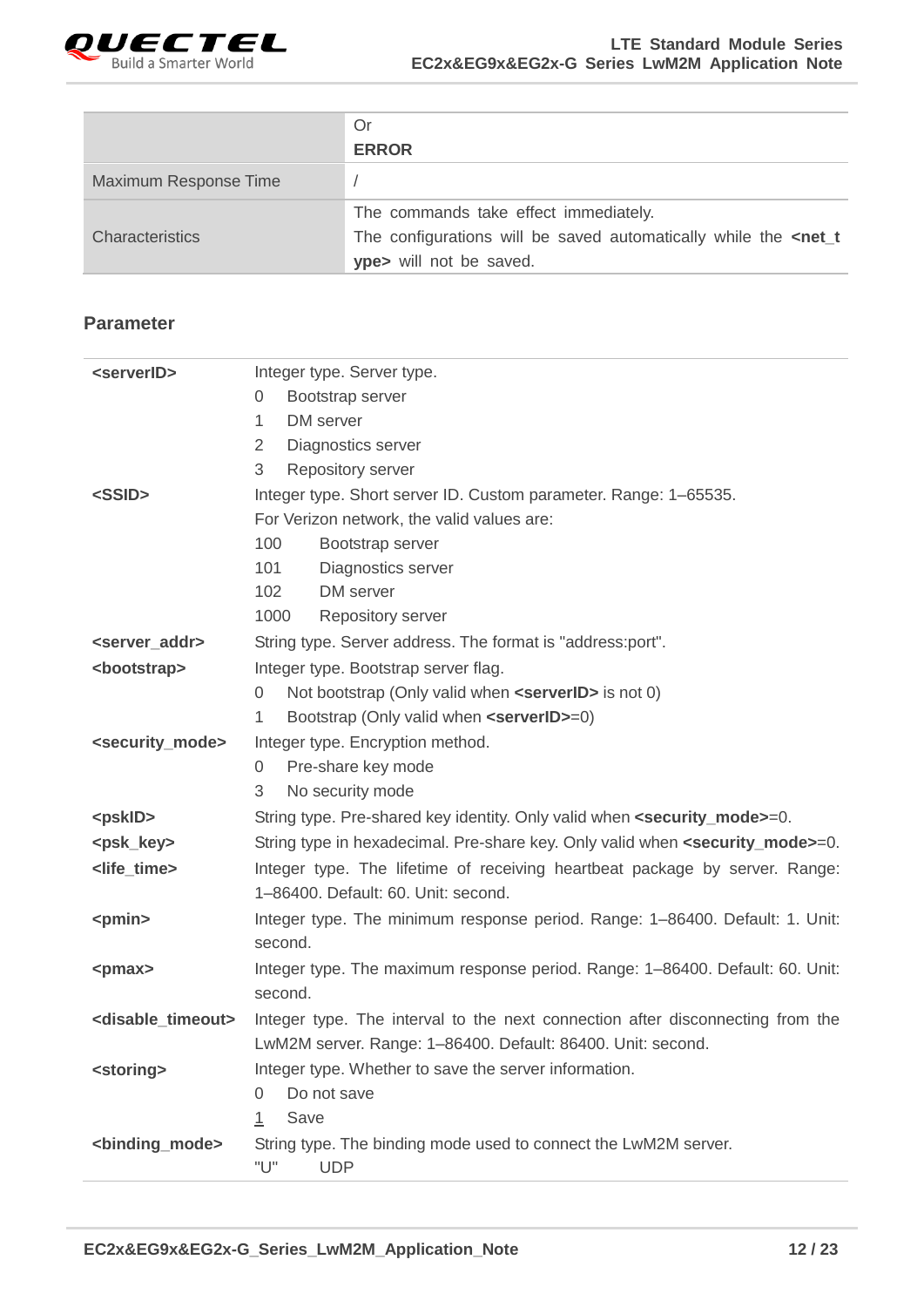

|                       | Or                                                                               |
|-----------------------|----------------------------------------------------------------------------------|
|                       | <b>ERROR</b>                                                                     |
| Maximum Response Time |                                                                                  |
|                       | The commands take effect immediately.                                            |
| Characteristics       | The configurations will be saved automatically while the <net_t< td=""></net_t<> |
|                       | ype> will not be saved.                                                          |

| <serverid></serverid>               | Integer type. Server type.                                                                                                                    |
|-------------------------------------|-----------------------------------------------------------------------------------------------------------------------------------------------|
|                                     | Bootstrap server<br>0                                                                                                                         |
|                                     | DM server<br>1                                                                                                                                |
|                                     | 2<br>Diagnostics server                                                                                                                       |
|                                     | 3<br><b>Repository server</b>                                                                                                                 |
| <ssid></ssid>                       | Integer type. Short server ID. Custom parameter. Range: 1-65535.                                                                              |
|                                     | For Verizon network, the valid values are:                                                                                                    |
|                                     | 100<br>Bootstrap server                                                                                                                       |
|                                     | 101<br>Diagnostics server                                                                                                                     |
|                                     | 102<br>DM server                                                                                                                              |
|                                     | 1000<br>Repository server                                                                                                                     |
| <server_addr></server_addr>         | String type. Server address. The format is "address:port".                                                                                    |
| <bootstrap></bootstrap>             | Integer type. Bootstrap server flag.                                                                                                          |
|                                     | Not bootstrap (Only valid when <serverid> is not 0)<br/>0</serverid>                                                                          |
|                                     | Bootstrap (Only valid when <serverid>=0)<br/>1</serverid>                                                                                     |
| <security_mode></security_mode>     | Integer type. Encryption method.                                                                                                              |
|                                     | Pre-share key mode<br>0                                                                                                                       |
|                                     | 3<br>No security mode                                                                                                                         |
| <pskid></pskid>                     | String type. Pre-shared key identity. Only valid when <security_mode>=0.</security_mode>                                                      |
| <psk_key></psk_key>                 | String type in hexadecimal. Pre-share key. Only valid when <security_mode>=0.</security_mode>                                                 |
| <life_time></life_time>             | Integer type. The lifetime of receiving heartbeat package by server. Range:<br>1-86400. Default: 60. Unit: second.                            |
| <pmin></pmin>                       | Integer type. The minimum response period. Range: 1–86400. Default: 1. Unit:                                                                  |
|                                     | second.                                                                                                                                       |
| <pmax></pmax>                       | Integer type. The maximum response period. Range: 1-86400. Default: 60. Unit:                                                                 |
|                                     | second.                                                                                                                                       |
| <disable_timeout></disable_timeout> | Integer type. The interval to the next connection after disconnecting from the<br>LwM2M server. Range: 1-86400. Default: 86400. Unit: second. |
| <storing></storing>                 | Integer type. Whether to save the server information.                                                                                         |
|                                     | Do not save<br>0                                                                                                                              |
|                                     | Save<br>$\perp$                                                                                                                               |
| <binding_mode></binding_mode>       | String type. The binding mode used to connect the LwM2M server.                                                                               |
|                                     | "U"<br><b>UDP</b>                                                                                                                             |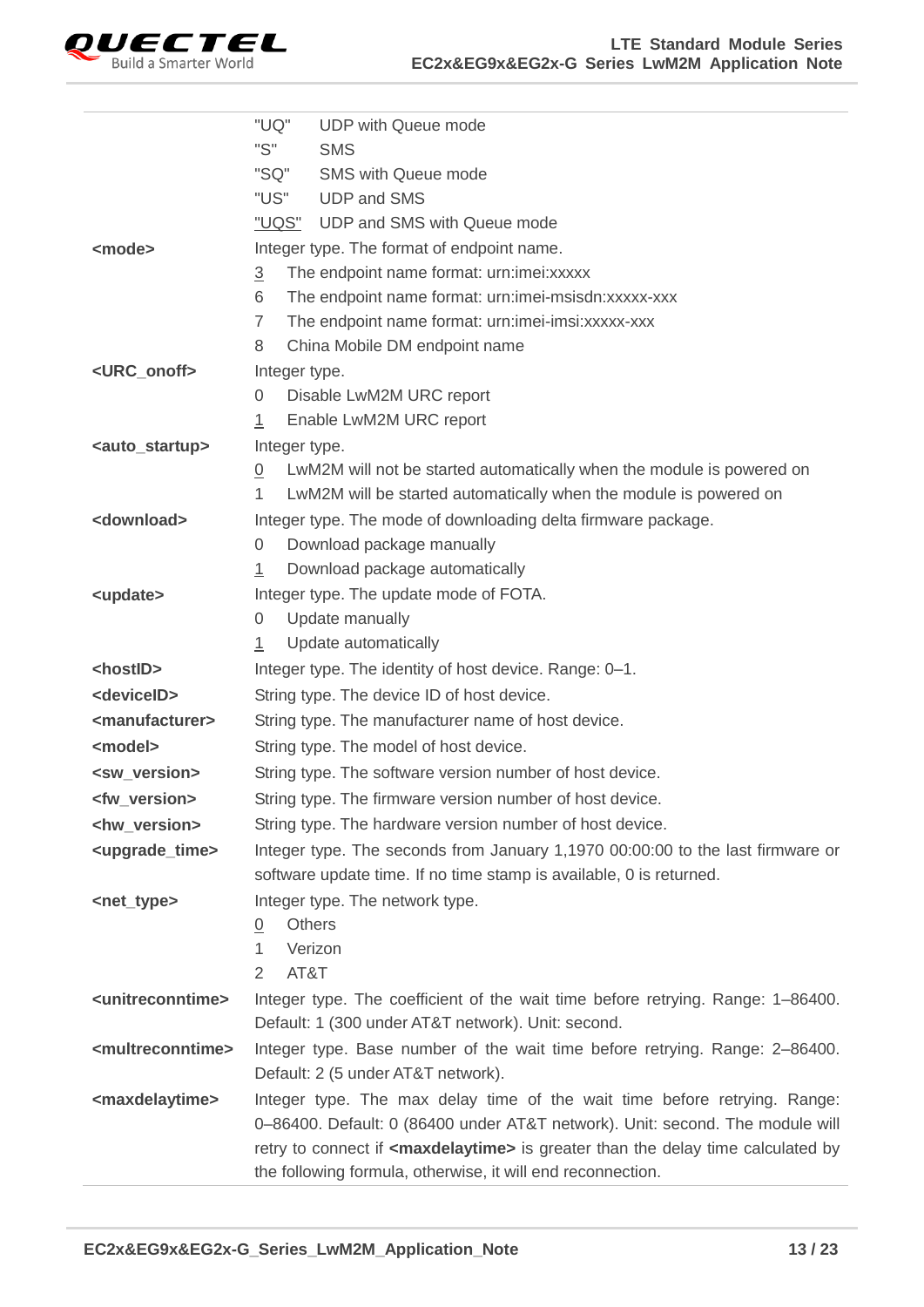

|                                   | "UQ"<br><b>UDP with Queue mode</b>                                                             |
|-----------------------------------|------------------------------------------------------------------------------------------------|
|                                   | "S"<br><b>SMS</b>                                                                              |
|                                   | "SQ"<br><b>SMS with Queue mode</b>                                                             |
|                                   | "US"<br><b>UDP and SMS</b>                                                                     |
|                                   | "UQS" UDP and SMS with Queue mode                                                              |
| <mode></mode>                     | Integer type. The format of endpoint name.                                                     |
|                                   | $\overline{3}$<br>The endpoint name format: urn:imei:xxxxx                                     |
|                                   | 6<br>The endpoint name format: urn:imei-msisdn:xxxxx-xxx                                       |
|                                   | The endpoint name format: urn:imei-imsi:xxxxx-xxx<br>7                                         |
|                                   | China Mobile DM endpoint name<br>8                                                             |
| <urc_onoff></urc_onoff>           | Integer type.                                                                                  |
|                                   | Disable LwM2M URC report<br>0                                                                  |
|                                   | Enable LwM2M URC report<br>1                                                                   |
| <auto_startup></auto_startup>     | Integer type.                                                                                  |
|                                   | LwM2M will not be started automatically when the module is powered on<br>$\overline{0}$        |
|                                   | LwM2M will be started automatically when the module is powered on<br>1                         |
| <download></download>             | Integer type. The mode of downloading delta firmware package.                                  |
|                                   | Download package manually<br>0                                                                 |
|                                   | Download package automatically<br>1                                                            |
| <update></update>                 | Integer type. The update mode of FOTA.                                                         |
|                                   | Update manually<br>0                                                                           |
|                                   | Update automatically<br>1                                                                      |
| <hostid></hostid>                 | Integer type. The identity of host device. Range: 0-1.                                         |
| <deviceid></deviceid>             | String type. The device ID of host device.                                                     |
| <manufacturer></manufacturer>     | String type. The manufacturer name of host device.                                             |
| <model></model>                   | String type. The model of host device.                                                         |
| <sw_version></sw_version>         | String type. The software version number of host device.                                       |
| <fw_version></fw_version>         | String type. The firmware version number of host device.                                       |
| <hw_version></hw_version>         | String type. The hardware version number of host device.                                       |
| <upgrade_time></upgrade_time>     | Integer type. The seconds from January 1,1970 00:00:00 to the last firmware or                 |
|                                   | software update time. If no time stamp is available, 0 is returned.                            |
| <net_type></net_type>             | Integer type. The network type.                                                                |
|                                   | <b>Others</b><br>0                                                                             |
|                                   | Verizon<br>1                                                                                   |
|                                   | AT&T<br>$\overline{2}$                                                                         |
| <unitreconntime></unitreconntime> | Integer type. The coefficient of the wait time before retrying. Range: 1–86400.                |
|                                   | Default: 1 (300 under AT&T network). Unit: second.                                             |
| <multreconntime></multreconntime> | Integer type. Base number of the wait time before retrying. Range: 2-86400.                    |
|                                   | Default: 2 (5 under AT&T network).                                                             |
| <maxdelaytime></maxdelaytime>     | Integer type. The max delay time of the wait time before retrying. Range:                      |
|                                   | 0-86400. Default: 0 (86400 under AT&T network). Unit: second. The module will                  |
|                                   | retry to connect if <maxdelaytime> is greater than the delay time calculated by</maxdelaytime> |
|                                   | the following formula, otherwise, it will end reconnection.                                    |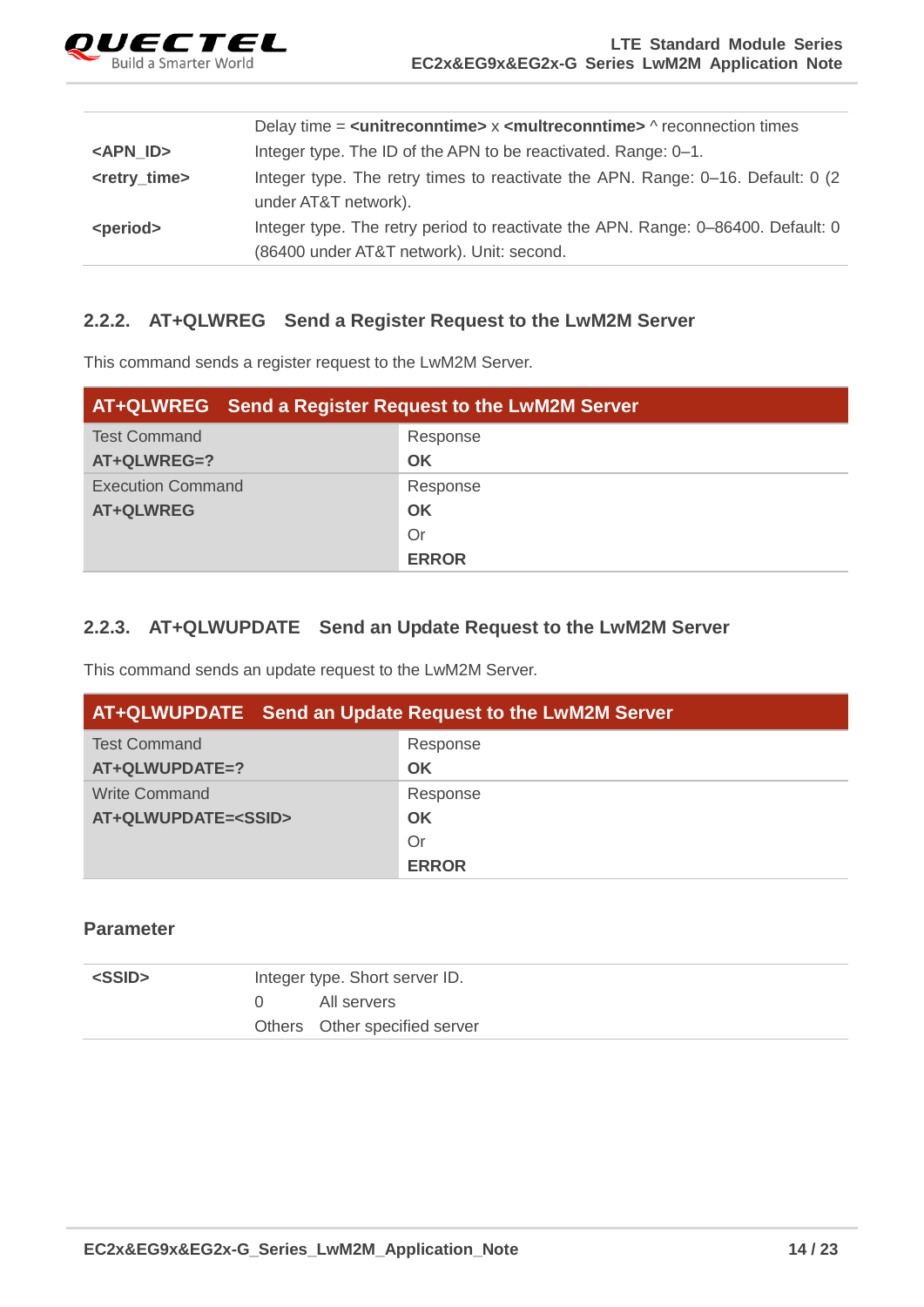

|                           | Delay time = $\leq$ unitreconntime> $\times$ $\leq$ multreconntime> $\wedge$ reconnection times |
|---------------------------|-------------------------------------------------------------------------------------------------|
| <apn_id></apn_id>         | Integer type. The ID of the APN to be reactivated. Range: 0-1.                                  |
| <retry_time></retry_time> | Integer type. The retry times to reactivate the APN. Range: 0–16. Default: 0 (2)                |
|                           | under AT&T network).                                                                            |
| <period></period>         | Integer type. The retry period to reactivate the APN. Range: 0–86400. Default: 0                |
|                           | (86400 under AT&T network). Unit: second.                                                       |

#### <span id="page-14-0"></span>**2.2.2. AT+QLWREG Send a Register Request to the LwM2M Server**

This command sends a register request to the LwM2M Server.

| <b>AT+QLWREG</b> Send a Register Request to the LwM2M Server |              |  |
|--------------------------------------------------------------|--------------|--|
| <b>Test Command</b>                                          | Response     |  |
| AT+QLWREG=?                                                  | OK           |  |
| <b>Execution Command</b>                                     | Response     |  |
| <b>AT+QLWREG</b>                                             | OK           |  |
|                                                              | Or           |  |
|                                                              | <b>ERROR</b> |  |

#### <span id="page-14-1"></span>**2.2.3. AT+QLWUPDATE Send an Update Request to the LwM2M Server**

This command sends an update request to the LwM2M Server.

| AT+QLWUPDATE Send an Update Request to the LwM2M Server |              |  |
|---------------------------------------------------------|--------------|--|
| <b>Test Command</b>                                     | Response     |  |
| AT+QLWUPDATE=?                                          | OK           |  |
| Write Command                                           | Response     |  |
| AT+QLWUPDATE= <ssid></ssid>                             | OK           |  |
|                                                         | Or           |  |
|                                                         | <b>ERROR</b> |  |

| <ssid></ssid> | Integer type. Short server ID. |                               |
|---------------|--------------------------------|-------------------------------|
|               |                                | All servers                   |
|               |                                | Others Other specified server |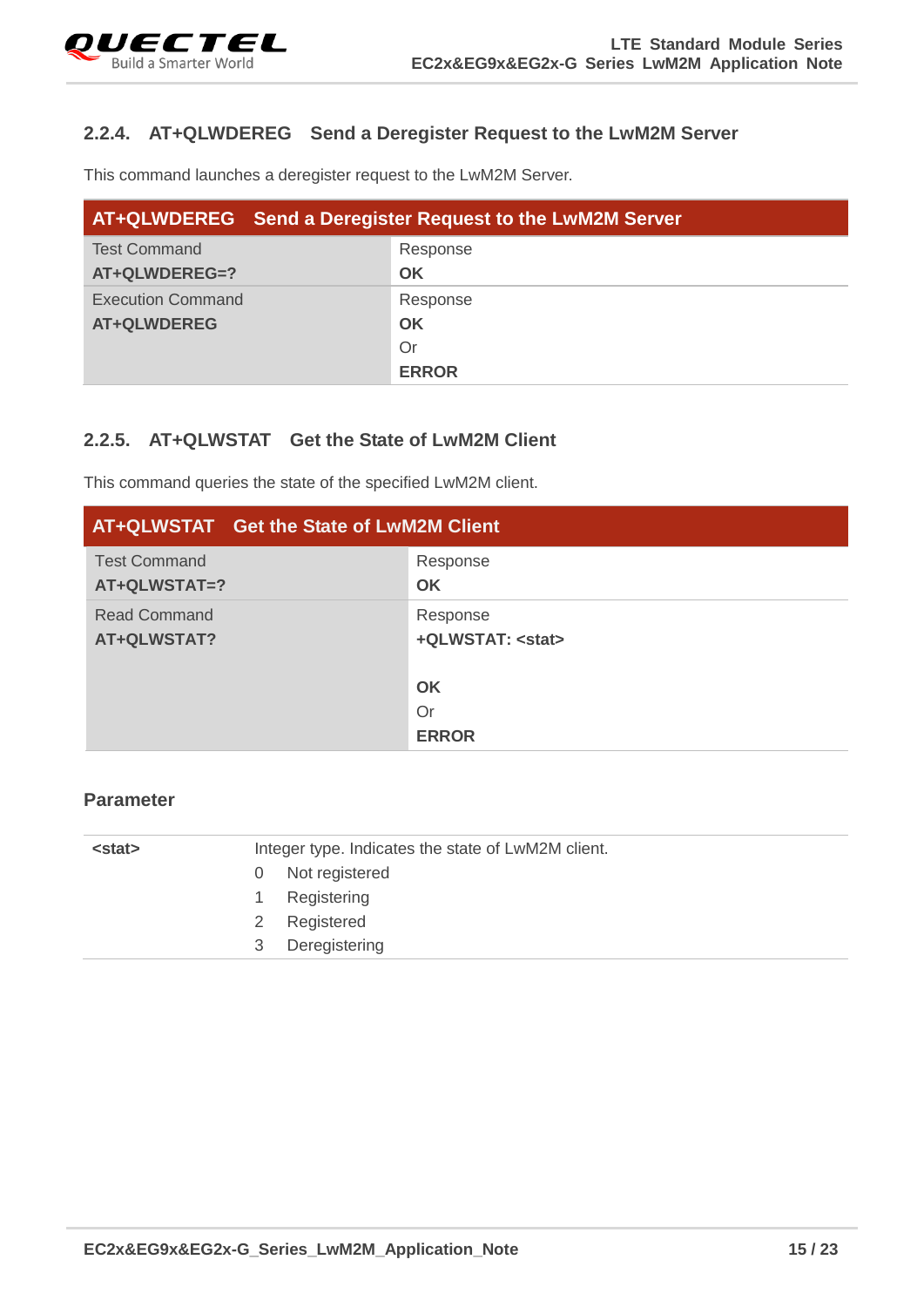#### <span id="page-15-0"></span>**2.2.4. AT+QLWDEREG Send a Deregister Request to the LwM2M Server**

This command launches a deregister request to the LwM2M Server.

| <b>AT+QLWDEREG</b> Send a Deregister Request to the LwM2M Server |              |  |
|------------------------------------------------------------------|--------------|--|
| <b>Test Command</b>                                              | Response     |  |
| AT+QLWDEREG=?                                                    | <b>OK</b>    |  |
| <b>Execution Command</b>                                         | Response     |  |
| <b>AT+QLWDEREG</b>                                               | <b>OK</b>    |  |
|                                                                  | Or           |  |
|                                                                  | <b>ERROR</b> |  |

#### <span id="page-15-1"></span>**2.2.5. AT+QLWSTAT Get the State of LwM2M Client**

This command queries the state of the specified LwM2M client.

| AT+QLWSTAT Get the State of LwM2M Client |                                     |  |
|------------------------------------------|-------------------------------------|--|
| <b>Test Command</b><br>AT+QLWSTAT=?      | Response<br>OK                      |  |
| <b>Read Command</b><br>AT+QLWSTAT?       | Response<br>+QLWSTAT: <stat></stat> |  |
|                                          | OK                                  |  |
|                                          | <b>Or</b>                           |  |
|                                          | <b>ERROR</b>                        |  |

| Not registered     |
|--------------------|
|                    |
| Registering        |
| Registered<br>2    |
| Deregistering<br>3 |
|                    |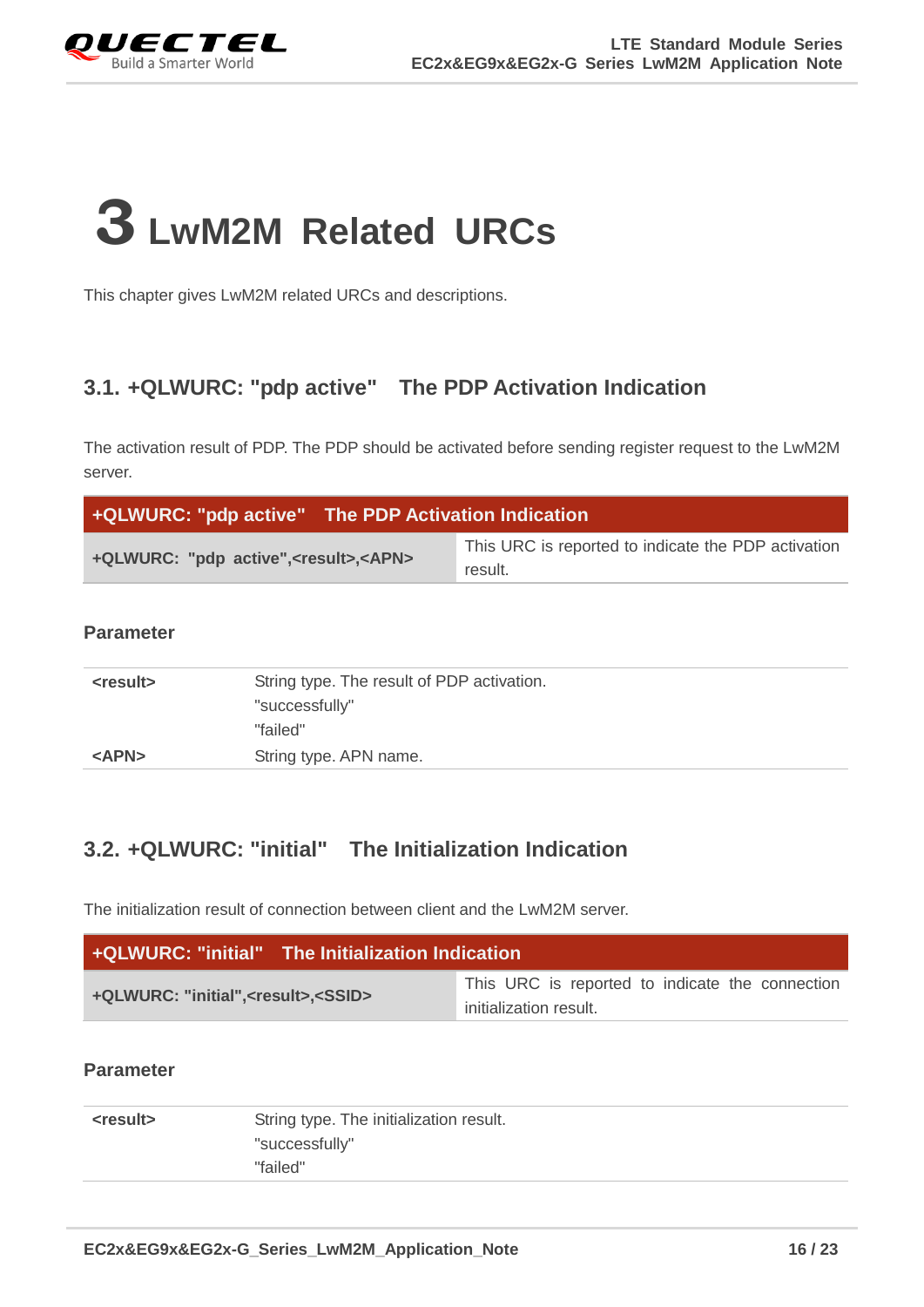

## <span id="page-16-0"></span>**3 LwM2M Related URCs**

This chapter gives LwM2M related URCs and descriptions.

## <span id="page-16-1"></span>**3.1. +QLWURC: "pdp active" The PDP Activation Indication**

The activation result of PDP. The PDP should be activated before sending register request to the LwM2M server.

| +QLWURC: "pdp active" The PDP Activation Indication   |                                                                |  |
|-------------------------------------------------------|----------------------------------------------------------------|--|
| +QLWURC: "pdp active", <result>, <apn></apn></result> | This URC is reported to indicate the PDP activation<br>result. |  |

#### **Parameter**

| <result></result> | String type. The result of PDP activation. |  |
|-------------------|--------------------------------------------|--|
|                   | "successfully"                             |  |
|                   | "failed"                                   |  |
| <apn></apn>       | String type. APN name.                     |  |

## <span id="page-16-2"></span>**3.2. +QLWURC: "initial" The Initialization Indication**

The initialization result of connection between client and the LwM2M server.

| <b>+QLWURC: "initial"</b> The Initialization Indication |                                                 |  |
|---------------------------------------------------------|-------------------------------------------------|--|
|                                                         | This URC is reported to indicate the connection |  |
| +QLWURC: "initial", <result>,<ssid></ssid></result>     | initialization result.                          |  |

| <result></result> | String type. The initialization result. |  |
|-------------------|-----------------------------------------|--|
|                   | "successfully"                          |  |
|                   | "failed"                                |  |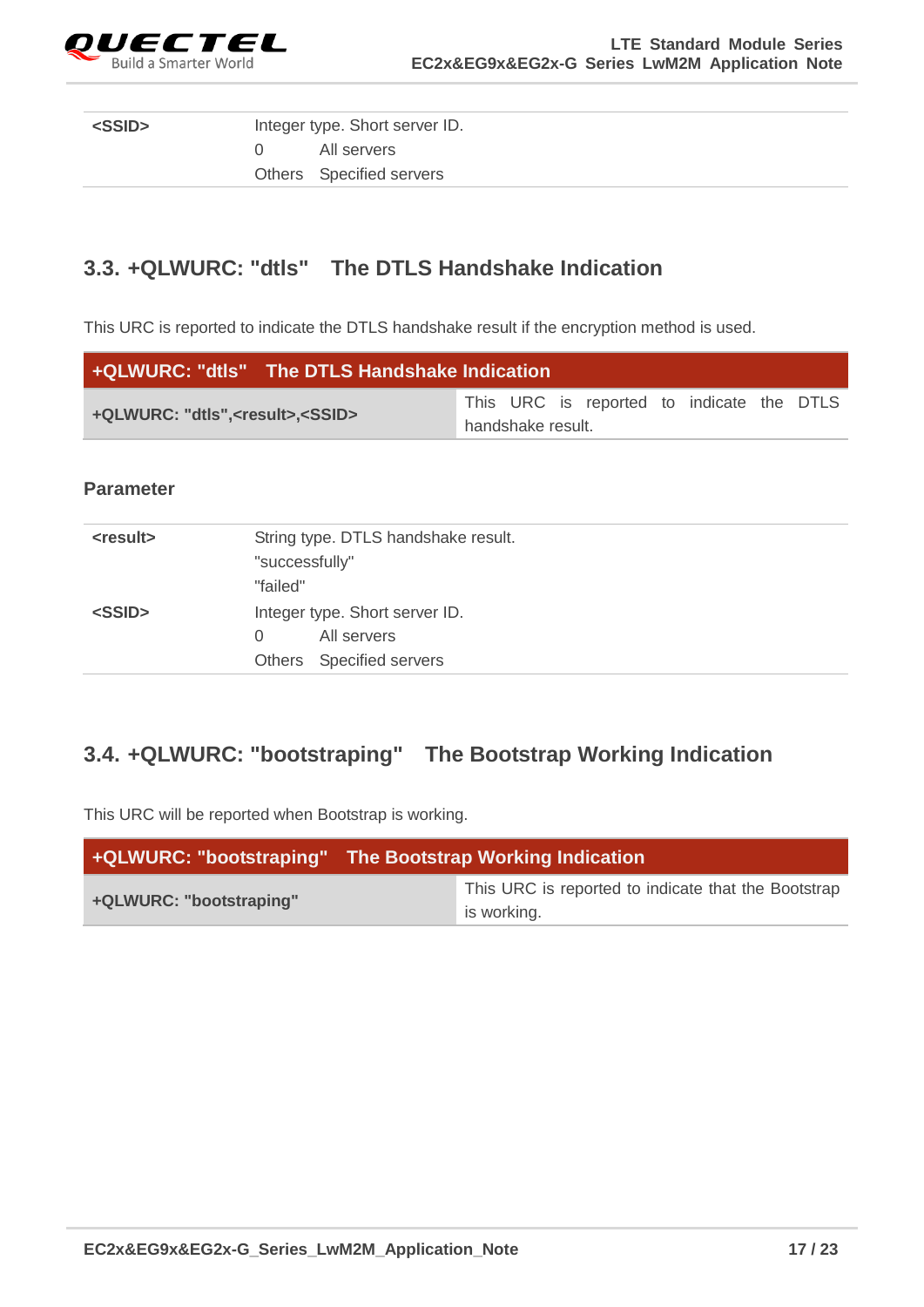

| <ssid></ssid> | Integer type. Short server ID. |                          |
|---------------|--------------------------------|--------------------------|
|               | (1)                            | All servers              |
|               |                                | Others Specified servers |

## <span id="page-17-0"></span>**3.3. +QLWURC: "dtls" The DTLS Handshake Indication**

This URC is reported to indicate the DTLS handshake result if the encryption method is used.

| +QLWURC: "dtls" The DTLS Handshake Indication    |  |                   |                                           |  |  |
|--------------------------------------------------|--|-------------------|-------------------------------------------|--|--|
| +QLWURC: "dtls", <result>,<ssid></ssid></result> |  |                   | This URC is reported to indicate the DTLS |  |  |
|                                                  |  | handshake result. |                                           |  |  |

#### **Parameter**

| String type. DTLS handshake result. |
|-------------------------------------|
| "successfully"                      |
| "failed"                            |
| Integer type. Short server ID.      |
| All servers<br>$\Omega$             |
| Others Specified servers            |
|                                     |

## <span id="page-17-1"></span>**3.4. +QLWURC: "bootstraping" The Bootstrap Working Indication**

This URC will be reported when Bootstrap is working.

| +QLWURC: "bootstraping" | The Bootstrap Working Indication                                   |  |  |
|-------------------------|--------------------------------------------------------------------|--|--|
| +QLWURC: "bootstraping" | This URC is reported to indicate that the Bootstrap<br>is working. |  |  |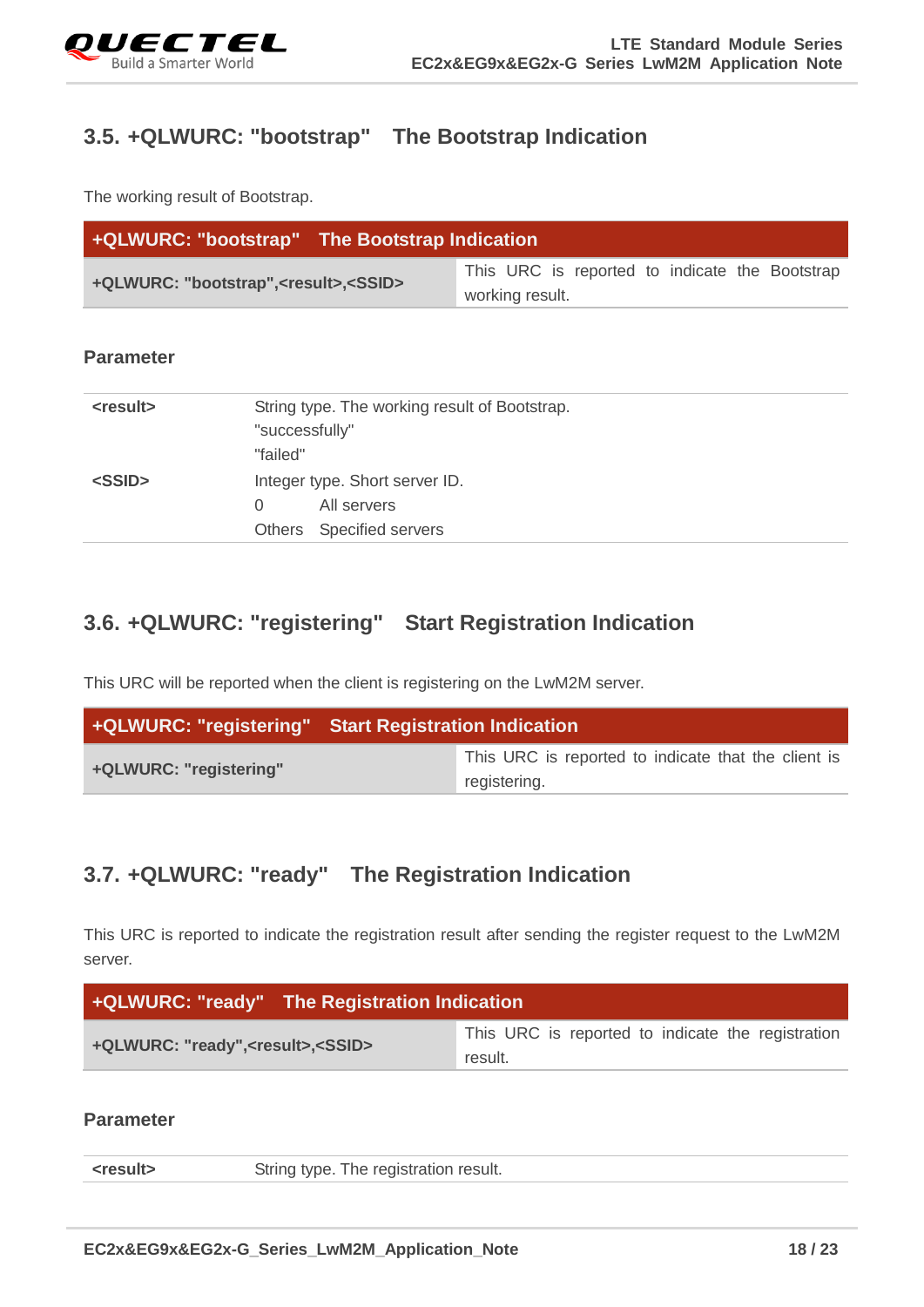

## <span id="page-18-0"></span>**3.5. +QLWURC: "bootstrap" The Bootstrap Indication**

The working result of Bootstrap.

| +QLWURC: "bootstrap" The Bootstrap Indication         |                                                                   |
|-------------------------------------------------------|-------------------------------------------------------------------|
| +QLWURC: "bootstrap", <result>,<ssid></ssid></result> | This URC is reported to indicate the Bootstrap<br>working result. |

#### **Parameter**

| <result></result> | String type. The working result of Bootstrap.<br>"successfully"<br>"failed" |
|-------------------|-----------------------------------------------------------------------------|
| <ssid></ssid>     | Integer type. Short server ID.                                              |
|                   | All servers<br>$\Omega$<br>Others Specified servers                         |

## <span id="page-18-1"></span>**3.6. +QLWURC: "registering" Start Registration Indication**

This URC will be reported when the client is registering on the LwM2M server.

|                        | +QLWURC: "registering" Start Registration Indication                |  |  |
|------------------------|---------------------------------------------------------------------|--|--|
| +QLWURC: "registering" | This URC is reported to indicate that the client is<br>registering. |  |  |

## <span id="page-18-2"></span>**3.7. +QLWURC: "ready" The Registration Indication**

This URC is reported to indicate the registration result after sending the register request to the LwM2M server.

| +QLWURC: "ready" The Registration Indication       |                                                              |
|----------------------------------------------------|--------------------------------------------------------------|
| +QLWURC: "ready", <result>, <ssid></ssid></result> | This URC is reported to indicate the registration<br>result. |

| <result></result> | String type. The registration result. |
|-------------------|---------------------------------------|
|                   |                                       |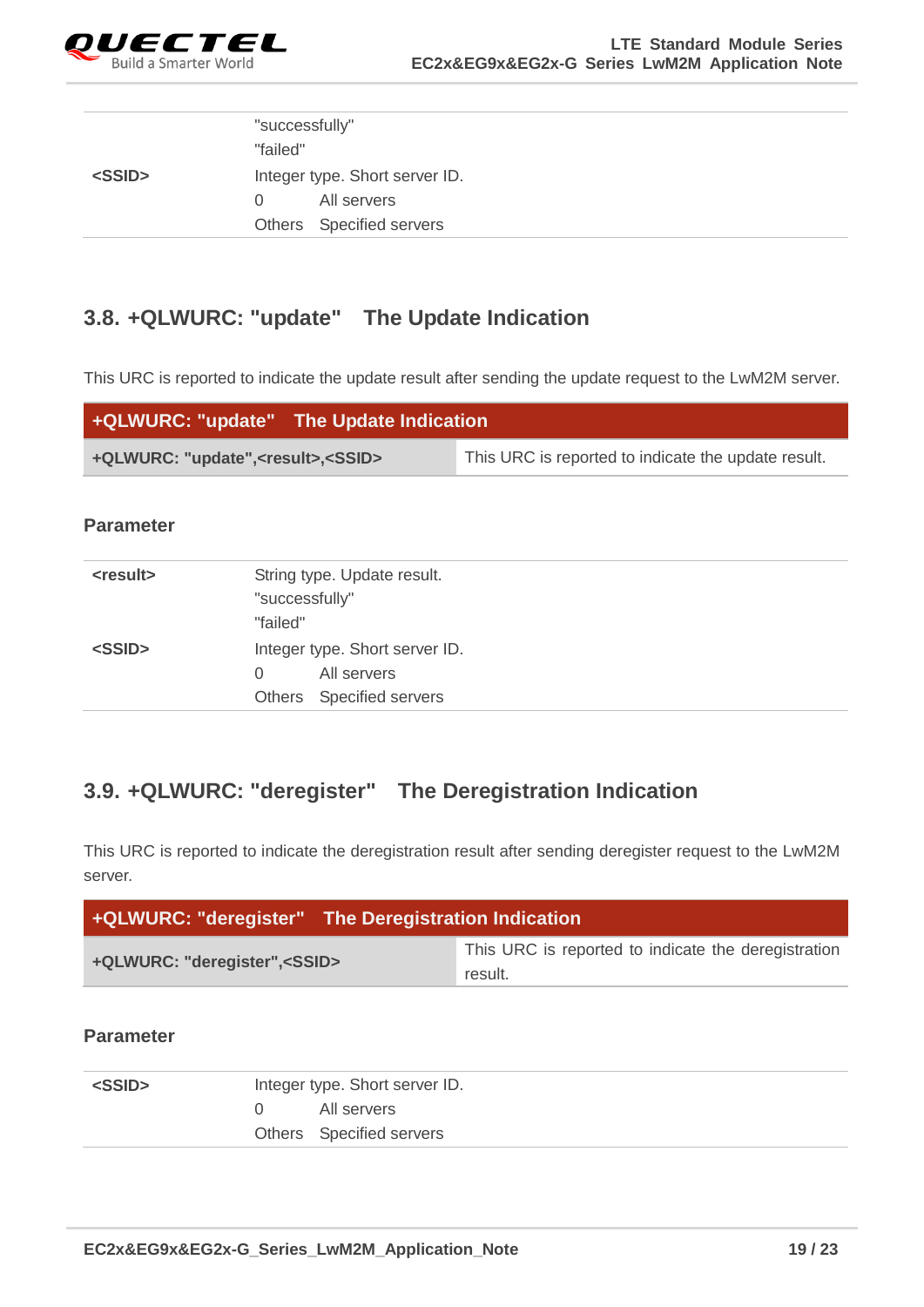

|               | "successfully"                 |
|---------------|--------------------------------|
|               | "failed"                       |
| <ssid></ssid> | Integer type. Short server ID. |
|               | All servers<br>$\Omega$        |
|               | Others Specified servers       |

## <span id="page-19-0"></span>**3.8. +QLWURC: "update" The Update Indication**

This URC is reported to indicate the update result after sending the update request to the LwM2M server.

| +QLWURC: "update" The Update Indication |                                                     |
|-----------------------------------------|-----------------------------------------------------|
| +QLWURC: "update", < result>, < SSID>   | This URC is reported to indicate the update result. |

#### **Parameter**

| <result></result> | String type. Update result.    |
|-------------------|--------------------------------|
|                   | "successfully"                 |
|                   | "failed"                       |
| <ssid></ssid>     | Integer type. Short server ID. |
|                   | All servers<br>$\Omega$        |
|                   | Others Specified servers       |

## <span id="page-19-1"></span>**3.9. +QLWURC: "deregister" The Deregistration Indication**

This URC is reported to indicate the deregistration result after sending deregister request to the LwM2M server.

| <b>+QLWURC: "deregister"</b> The Deregistration Indication |                                                                |  |  |  |
|------------------------------------------------------------|----------------------------------------------------------------|--|--|--|
| +QLWURC: "deregister", <ssid></ssid>                       | This URC is reported to indicate the deregistration<br>result. |  |  |  |

| <ssid></ssid> | Integer type. Short server ID. |                          |
|---------------|--------------------------------|--------------------------|
|               |                                | All servers              |
|               |                                | Others Specified servers |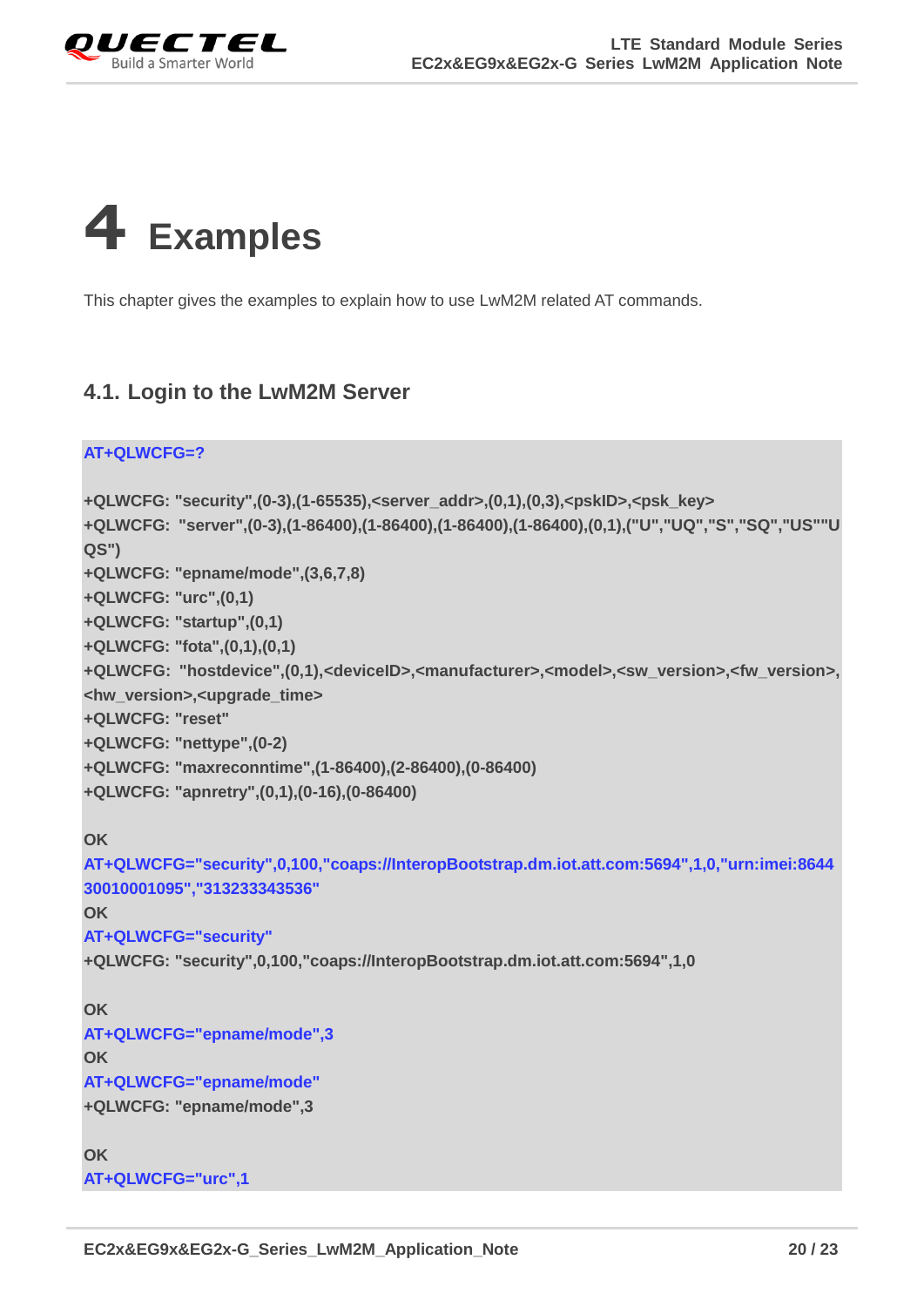

<span id="page-20-0"></span>

This chapter gives the examples to explain how to use LwM2M related AT commands.

### <span id="page-20-1"></span>**4.1. Login to the LwM2M Server**

```
AT+QLWCFG=?
+QLWCFG: "security",(0-3),(1-65535),<server_addr>,(0,1),(0,3),<pskID>,<psk_key>
+QLWCFG: "server",(0-3),(1-86400),(1-86400),(1-86400),(1-86400),(0,1),("U","UQ","S","SQ","US""U
QS")
+QLWCFG: "epname/mode",(3,6,7,8)
+QLWCFG: "urc",(0,1)
+QLWCFG: "startup",(0,1)
+QLWCFG: "fota",(0,1),(0,1)
+QLWCFG: "hostdevice",(0,1),<deviceID>,<manufacturer>,<model>,<sw_version>,<fw_version>,
<hw_version>,<upgrade_time>
+QLWCFG: "reset"
+QLWCFG: "nettype",(0-2)
+QLWCFG: "maxreconntime",(1-86400),(2-86400),(0-86400)
+QLWCFG: "apnretry",(0,1),(0-16),(0-86400)
OK
AT+QLWCFG="security",0,100,"coaps://InteropBootstrap.dm.iot.att.com:5694",1,0,"urn:imei:8644
30010001095","313233343536"
OK
AT+QLWCFG="security"
+QLWCFG: "security",0,100,"coaps://InteropBootstrap.dm.iot.att.com:5694",1,0
OK
AT+QLWCFG="epname/mode",3
OK
AT+QLWCFG="epname/mode"
+QLWCFG: "epname/mode",3
OK
AT+QLWCFG="urc",1
```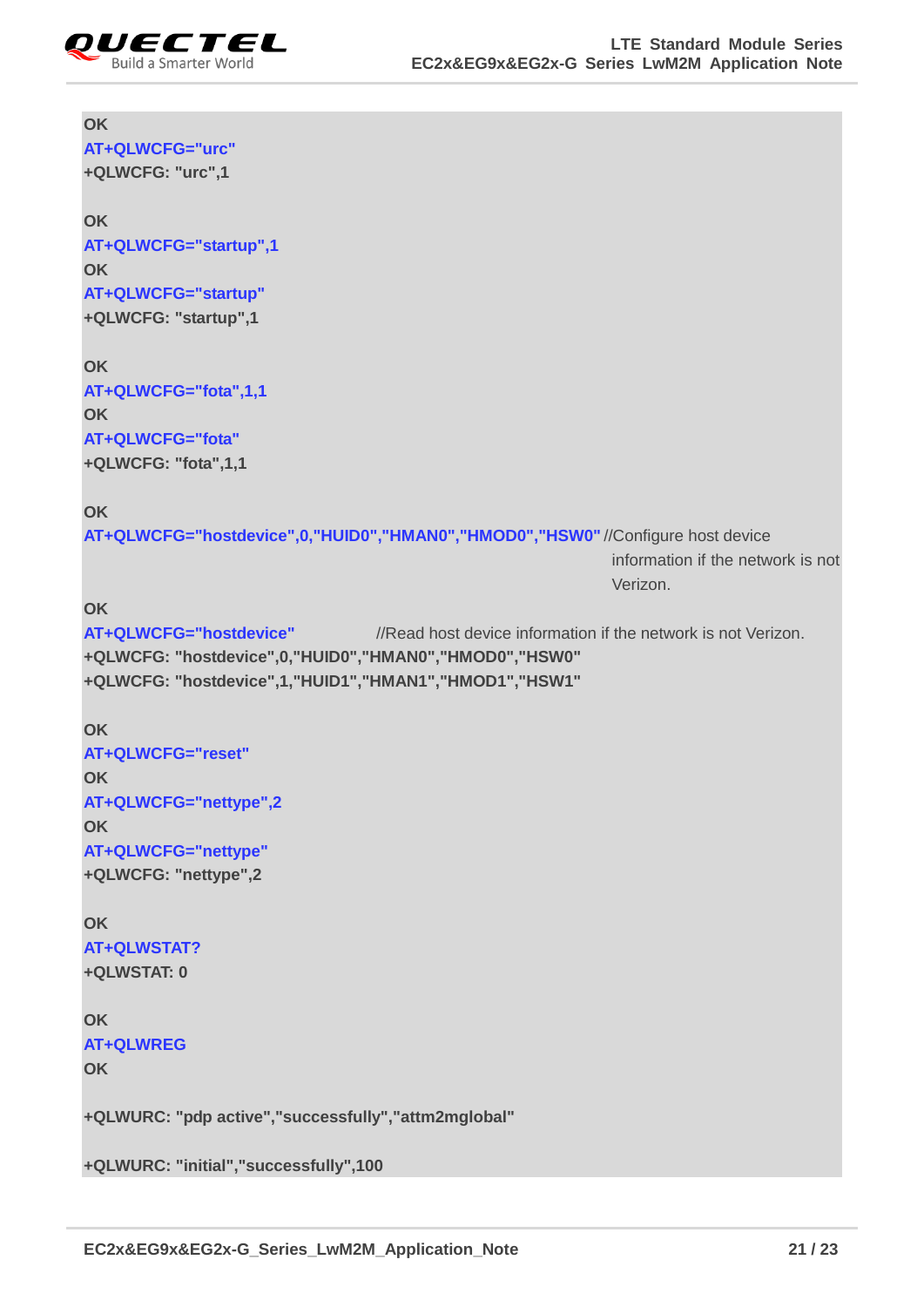

## **OK AT+QLWCFG="urc" +QLWCFG: "urc",1 OK AT+QLWCFG="startup",1 OK AT+QLWCFG="startup" +QLWCFG: "startup",1 OK AT+QLWCFG="fota",1,1 OK AT+QLWCFG="fota" +QLWCFG: "fota",1,1 OK AT+QLWCFG="hostdevice",0,"HUID0","HMAN0","HMOD0","HSW0"** //Configure host device information if the network is not Verizon. **OK AT+QLWCFG="hostdevice"** //Read host device information if the network is not Verizon. **+QLWCFG: "hostdevice",0,"HUID0","HMAN0","HMOD0","HSW0" +QLWCFG: "hostdevice",1,"HUID1","HMAN1","HMOD1","HSW1" OK AT+QLWCFG="reset" OK AT+QLWCFG="nettype",2 OK AT+QLWCFG="nettype" +QLWCFG: "nettype",2 OK AT+QLWSTAT? +QLWSTAT: 0 OK AT+QLWREG OK +QLWURC: "pdp active","successfully","attm2mglobal" +QLWURC: "initial","successfully",100**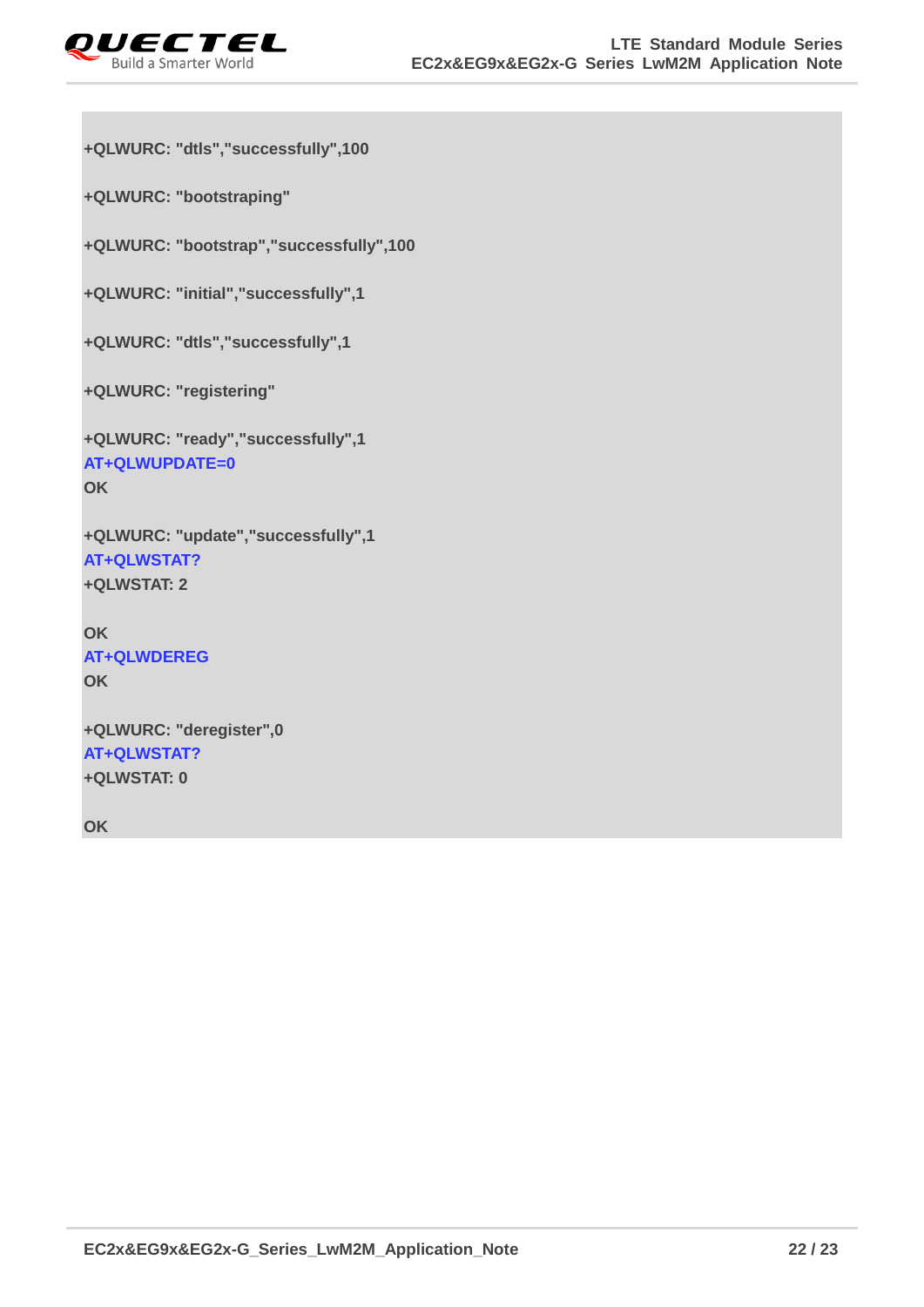

```
+QLWURC: "dtls","successfully",100
```
**+QLWURC: "bootstraping"**

**+QLWURC: "bootstrap","successfully",100**

**+QLWURC: "initial","successfully",1**

**+QLWURC: "dtls","successfully",1**

**+QLWURC: "registering"**

```
+QLWURC: "ready","successfully",1
AT+QLWUPDATE=0
OK
```

```
+QLWURC: "update","successfully",1
AT+QLWSTAT?
+QLWSTAT: 2
```
**OK AT+QLWDEREG OK**

```
+QLWURC: "deregister",0
AT+QLWSTAT?
+QLWSTAT: 0
```
**OK**